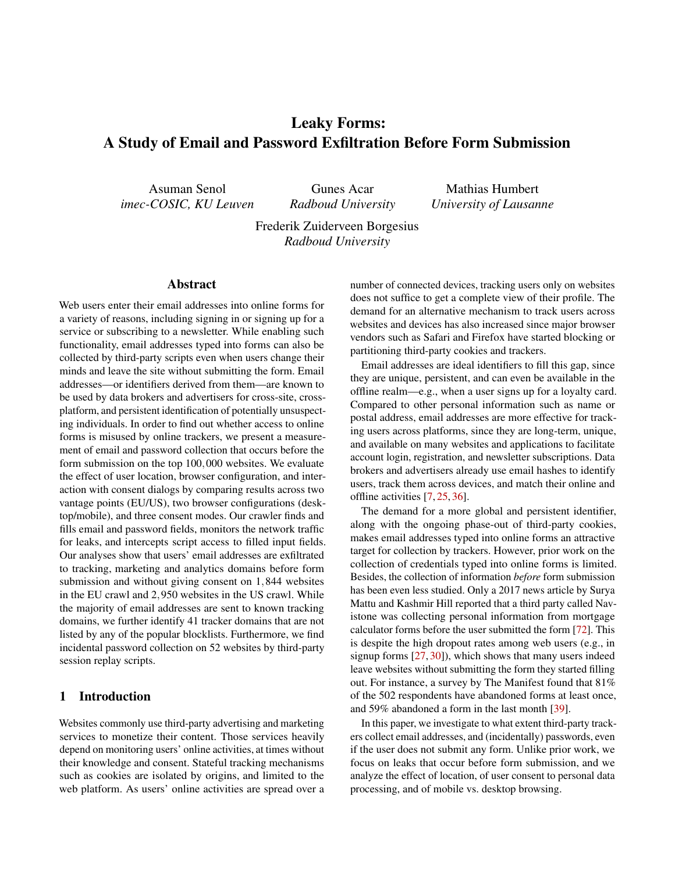# Leaky Forms: A Study of Email and Password Exfiltration Before Form Submission

Asuman Senol *imec-COSIC, KU Leuven*

Gunes Acar *Radboud University*

Mathias Humbert *University of Lausanne*

Frederik Zuiderveen Borgesius *Radboud University*

## Abstract

Web users enter their email addresses into online forms for a variety of reasons, including signing in or signing up for a service or subscribing to a newsletter. While enabling such functionality, email addresses typed into forms can also be collected by third-party scripts even when users change their minds and leave the site without submitting the form. Email addresses—or identifiers derived from them—are known to be used by data brokers and advertisers for cross-site, crossplatform, and persistent identification of potentially unsuspecting individuals. In order to find out whether access to online forms is misused by online trackers, we present a measurement of email and password collection that occurs before the form submission on the top 100,000 websites. We evaluate the effect of user location, browser configuration, and interaction with consent dialogs by comparing results across two vantage points (EU/US), two browser configurations (desktop/mobile), and three consent modes. Our crawler finds and fills email and password fields, monitors the network traffic for leaks, and intercepts script access to filled input fields. Our analyses show that users' email addresses are exfiltrated to tracking, marketing and analytics domains before form submission and without giving consent on 1,844 websites in the EU crawl and 2,950 websites in the US crawl. While the majority of email addresses are sent to known tracking domains, we further identify 41 tracker domains that are not listed by any of the popular blocklists. Furthermore, we find incidental password collection on 52 websites by third-party session replay scripts.

#### 1 Introduction

Websites commonly use third-party advertising and marketing services to monetize their content. Those services heavily depend on monitoring users' online activities, at times without their knowledge and consent. Stateful tracking mechanisms such as cookies are isolated by origins, and limited to the web platform. As users' online activities are spread over a number of connected devices, tracking users only on websites does not suffice to get a complete view of their profile. The demand for an alternative mechanism to track users across websites and devices has also increased since major browser vendors such as Safari and Firefox have started blocking or partitioning third-party cookies and trackers.

Email addresses are ideal identifiers to fill this gap, since they are unique, persistent, and can even be available in the offline realm—e.g., when a user signs up for a loyalty card. Compared to other personal information such as name or postal address, email addresses are more effective for tracking users across platforms, since they are long-term, unique, and available on many websites and applications to facilitate account login, registration, and newsletter subscriptions. Data brokers and advertisers already use email hashes to identify users, track them across devices, and match their online and offline activities [\[7,](#page-13-0) [25,](#page-14-0) [36\]](#page-14-1).

The demand for a more global and persistent identifier, along with the ongoing phase-out of third-party cookies, makes email addresses typed into online forms an attractive target for collection by trackers. However, prior work on the collection of credentials typed into online forms is limited. Besides, the collection of information *before* form submission has been even less studied. Only a 2017 news article by Surya Mattu and Kashmir Hill reported that a third party called Navistone was collecting personal information from mortgage calculator forms before the user submitted the form [\[72\]](#page-16-0). This is despite the high dropout rates among web users (e.g., in signup forms [\[27,](#page-14-2) [30\]](#page-14-3)), which shows that many users indeed leave websites without submitting the form they started filling out. For instance, a survey by The Manifest found that 81% of the 502 respondents have abandoned forms at least once, and 59% abandoned a form in the last month [\[39\]](#page-15-0).

In this paper, we investigate to what extent third-party trackers collect email addresses, and (incidentally) passwords, even if the user does not submit any form. Unlike prior work, we focus on leaks that occur before form submission, and we analyze the effect of location, of user consent to personal data processing, and of mobile vs. desktop browsing.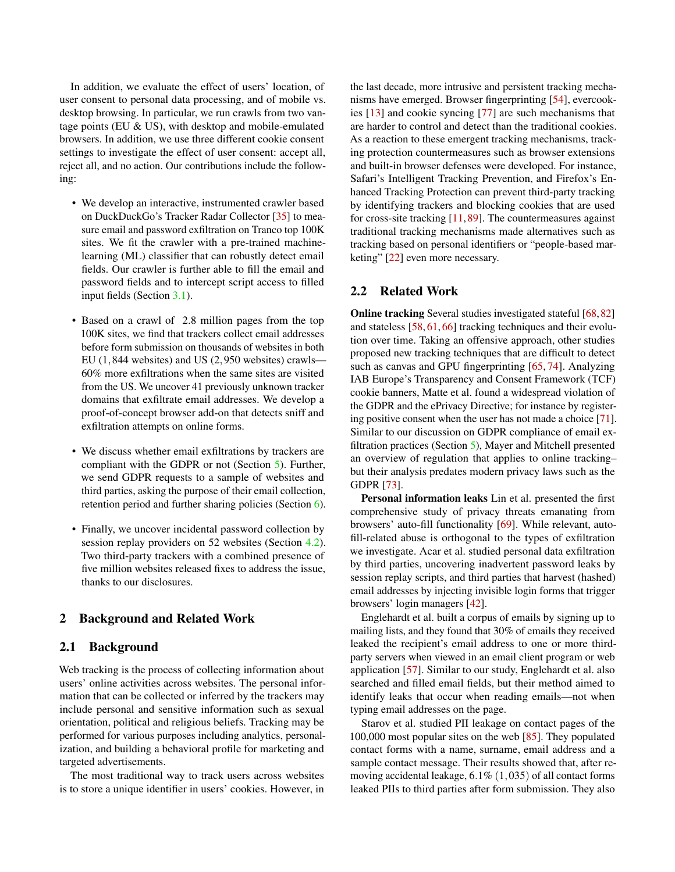In addition, we evaluate the effect of users' location, of user consent to personal data processing, and of mobile vs. desktop browsing. In particular, we run crawls from two vantage points (EU & US), with desktop and mobile-emulated browsers. In addition, we use three different cookie consent settings to investigate the effect of user consent: accept all, reject all, and no action. Our contributions include the following:

- We develop an interactive, instrumented crawler based on DuckDuckGo's Tracker Radar Collector [\[35\]](#page-14-4) to measure email and password exfiltration on Tranco top 100K sites. We fit the crawler with a pre-trained machinelearning (ML) classifier that can robustly detect email fields. Our crawler is further able to fill the email and password fields and to intercept script access to filled input fields (Section [3.1\)](#page-2-0).
- Based on a crawl of 2.8 million pages from the top 100K sites, we find that trackers collect email addresses before form submission on thousands of websites in both EU (1,844 websites) and US (2,950 websites) crawls— 60% more exfiltrations when the same sites are visited from the US. We uncover 41 previously unknown tracker domains that exfiltrate email addresses. We develop a proof-of-concept browser add-on that detects sniff and exfiltration attempts on online forms.
- We discuss whether email exfiltrations by trackers are compliant with the GDPR or not (Section [5\)](#page-9-0). Further, we send GDPR requests to a sample of websites and third parties, asking the purpose of their email collection, retention period and further sharing policies (Section [6\)](#page-10-0).
- Finally, we uncover incidental password collection by session replay providers on 52 websites (Section [4.2\)](#page-7-0). Two third-party trackers with a combined presence of five million websites released fixes to address the issue, thanks to our disclosures.

#### 2 Background and Related Work

## 2.1 Background

Web tracking is the process of collecting information about users' online activities across websites. The personal information that can be collected or inferred by the trackers may include personal and sensitive information such as sexual orientation, political and religious beliefs. Tracking may be performed for various purposes including analytics, personalization, and building a behavioral profile for marketing and targeted advertisements.

The most traditional way to track users across websites is to store a unique identifier in users' cookies. However, in the last decade, more intrusive and persistent tracking mechanisms have emerged. Browser fingerprinting [\[54\]](#page-15-1), evercookies [\[13\]](#page-14-5) and cookie syncing [\[77\]](#page-16-1) are such mechanisms that are harder to control and detect than the traditional cookies. As a reaction to these emergent tracking mechanisms, tracking protection countermeasures such as browser extensions and built-in browser defenses were developed. For instance, Safari's Intelligent Tracking Prevention, and Firefox's Enhanced Tracking Protection can prevent third-party tracking by identifying trackers and blocking cookies that are used for cross-site tracking [\[11,](#page-14-6) [89\]](#page-17-0). The countermeasures against traditional tracking mechanisms made alternatives such as tracking based on personal identifiers or "people-based marketing" [\[22\]](#page-14-7) even more necessary.

#### 2.2 Related Work

Online tracking Several studies investigated stateful [\[68,](#page-16-2)[82\]](#page-17-1) and stateless [\[58,](#page-15-2) [61,](#page-16-3) [66\]](#page-16-4) tracking techniques and their evolution over time. Taking an offensive approach, other studies proposed new tracking techniques that are difficult to detect such as canvas and GPU fingerprinting [\[65,](#page-16-5) [74\]](#page-16-6). Analyzing IAB Europe's Transparency and Consent Framework (TCF) cookie banners, Matte et al. found a widespread violation of the GDPR and the ePrivacy Directive; for instance by registering positive consent when the user has not made a choice [\[71\]](#page-16-7). Similar to our discussion on GDPR compliance of email exfiltration practices (Section [5\)](#page-9-0), Mayer and Mitchell presented an overview of regulation that applies to online tracking– but their analysis predates modern privacy laws such as the GDPR [\[73\]](#page-16-8).

Personal information leaks Lin et al. presented the first comprehensive study of privacy threats emanating from browsers' auto-fill functionality [\[69\]](#page-16-9). While relevant, autofill-related abuse is orthogonal to the types of exfiltration we investigate. Acar et al. studied personal data exfiltration by third parties, uncovering inadvertent password leaks by session replay scripts, and third parties that harvest (hashed) email addresses by injecting invisible login forms that trigger browsers' login managers [\[42\]](#page-15-3).

Englehardt et al. built a corpus of emails by signing up to mailing lists, and they found that 30% of emails they received leaked the recipient's email address to one or more thirdparty servers when viewed in an email client program or web application [\[57\]](#page-15-4). Similar to our study, Englehardt et al. also searched and filled email fields, but their method aimed to identify leaks that occur when reading emails—not when typing email addresses on the page.

Starov et al. studied PII leakage on contact pages of the 100,000 most popular sites on the web [\[85\]](#page-17-2). They populated contact forms with a name, surname, email address and a sample contact message. Their results showed that, after removing accidental leakage, 6.1% (1,035) of all contact forms leaked PIIs to third parties after form submission. They also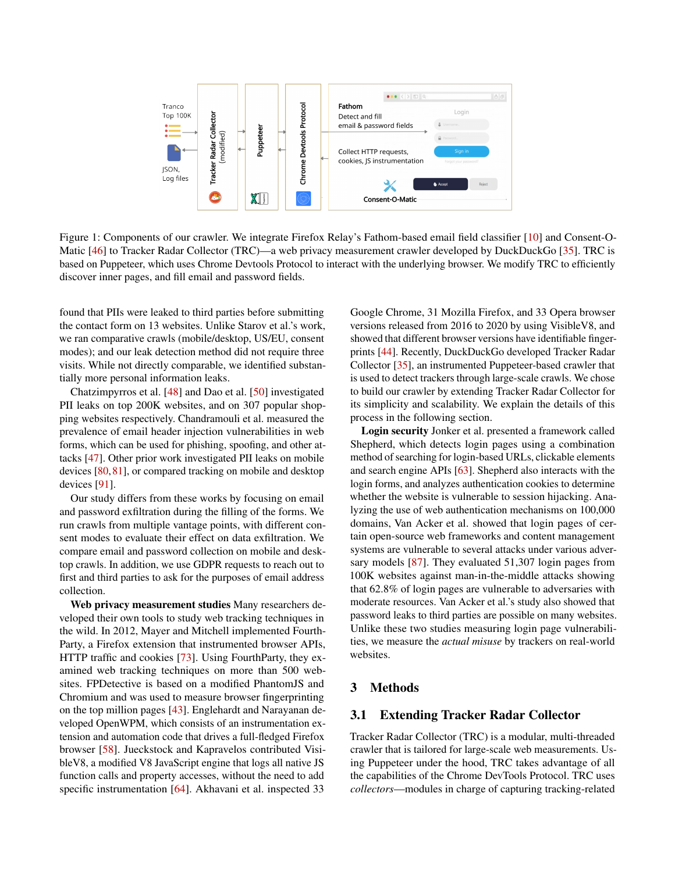

Figure 1: Components of our crawler. We integrate Firefox Relay's Fathom-based email field classifier [\[10\]](#page-14-8) and Consent-O-Matic [\[46\]](#page-15-5) to Tracker Radar Collector (TRC)—a web privacy measurement crawler developed by DuckDuckGo [\[35\]](#page-14-4). TRC is based on Puppeteer, which uses Chrome Devtools Protocol to interact with the underlying browser. We modify TRC to efficiently discover inner pages, and fill email and password fields.

found that PIIs were leaked to third parties before submitting the contact form on 13 websites. Unlike Starov et al.'s work, we ran comparative crawls (mobile/desktop, US/EU, consent modes); and our leak detection method did not require three visits. While not directly comparable, we identified substantially more personal information leaks.

Chatzimpyrros et al. [\[48\]](#page-15-6) and Dao et al. [\[50\]](#page-15-7) investigated PII leaks on top 200K websites, and on 307 popular shopping websites respectively. Chandramouli et al. measured the prevalence of email header injection vulnerabilities in web forms, which can be used for phishing, spoofing, and other attacks [\[47\]](#page-15-8). Other prior work investigated PII leaks on mobile devices [\[80,](#page-16-10)[81\]](#page-17-3), or compared tracking on mobile and desktop devices [\[91\]](#page-17-4).

Our study differs from these works by focusing on email and password exfiltration during the filling of the forms. We run crawls from multiple vantage points, with different consent modes to evaluate their effect on data exfiltration. We compare email and password collection on mobile and desktop crawls. In addition, we use GDPR requests to reach out to first and third parties to ask for the purposes of email address collection.

Web privacy measurement studies Many researchers developed their own tools to study web tracking techniques in the wild. In 2012, Mayer and Mitchell implemented Fourth-Party, a Firefox extension that instrumented browser APIs, HTTP traffic and cookies [\[73\]](#page-16-8). Using FourthParty, they examined web tracking techniques on more than 500 websites. FPDetective is based on a modified PhantomJS and Chromium and was used to measure browser fingerprinting on the top million pages [\[43\]](#page-15-9). Englehardt and Narayanan developed OpenWPM, which consists of an instrumentation extension and automation code that drives a full-fledged Firefox browser [\[58\]](#page-15-2). Jueckstock and Kapravelos contributed VisibleV8, a modified V8 JavaScript engine that logs all native JS function calls and property accesses, without the need to add specific instrumentation [\[64\]](#page-16-11). Akhavani et al. inspected 33

<span id="page-2-1"></span>Google Chrome, 31 Mozilla Firefox, and 33 Opera browser versions released from 2016 to 2020 by using VisibleV8, and showed that different browser versions have identifiable fingerprints [\[44\]](#page-15-10). Recently, DuckDuckGo developed Tracker Radar Collector [\[35\]](#page-14-4), an instrumented Puppeteer-based crawler that is used to detect trackers through large-scale crawls. We chose to build our crawler by extending Tracker Radar Collector for its simplicity and scalability. We explain the details of this process in the following section.

Login security Jonker et al. presented a framework called Shepherd, which detects login pages using a combination method of searching for login-based URLs, clickable elements and search engine APIs [\[63\]](#page-16-12). Shepherd also interacts with the login forms, and analyzes authentication cookies to determine whether the website is vulnerable to session hijacking. Analyzing the use of web authentication mechanisms on 100,000 domains, Van Acker et al. showed that login pages of certain open-source web frameworks and content management systems are vulnerable to several attacks under various adversary models [\[87\]](#page-17-5). They evaluated 51,307 login pages from 100K websites against man-in-the-middle attacks showing that 62.8% of login pages are vulnerable to adversaries with moderate resources. Van Acker et al.'s study also showed that password leaks to third parties are possible on many websites. Unlike these two studies measuring login page vulnerabilities, we measure the *actual misuse* by trackers on real-world websites.

#### 3 Methods

#### <span id="page-2-0"></span>3.1 Extending Tracker Radar Collector

Tracker Radar Collector (TRC) is a modular, multi-threaded crawler that is tailored for large-scale web measurements. Using Puppeteer under the hood, TRC takes advantage of all the capabilities of the Chrome DevTools Protocol. TRC uses *collectors*—modules in charge of capturing tracking-related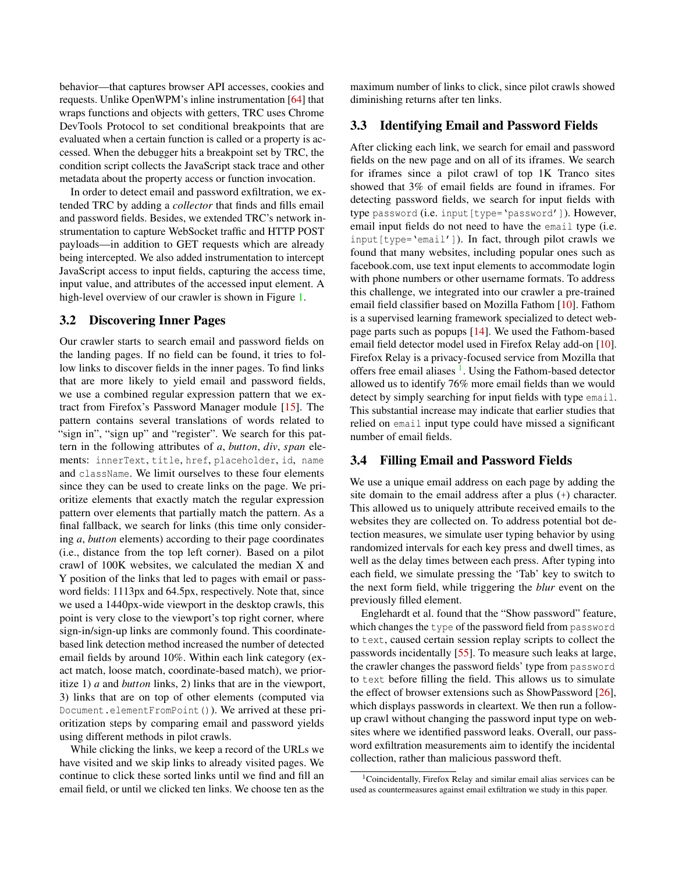behavior—that captures browser API accesses, cookies and requests. Unlike OpenWPM's inline instrumentation [\[64\]](#page-16-11) that wraps functions and objects with getters, TRC uses Chrome DevTools Protocol to set conditional breakpoints that are evaluated when a certain function is called or a property is accessed. When the debugger hits a breakpoint set by TRC, the condition script collects the JavaScript stack trace and other metadata about the property access or function invocation.

In order to detect email and password exfiltration, we extended TRC by adding a *collector* that finds and fills email and password fields. Besides, we extended TRC's network instrumentation to capture WebSocket traffic and HTTP POST payloads—in addition to GET requests which are already being intercepted. We also added instrumentation to intercept JavaScript access to input fields, capturing the access time, input value, and attributes of the accessed input element. A high-level overview of our crawler is shown in Figure [1.](#page-2-1)

#### 3.2 Discovering Inner Pages

Our crawler starts to search email and password fields on the landing pages. If no field can be found, it tries to follow links to discover fields in the inner pages. To find links that are more likely to yield email and password fields, we use a combined regular expression pattern that we extract from Firefox's Password Manager module [\[15\]](#page-14-9). The pattern contains several translations of words related to "sign in", "sign up" and "register". We search for this pattern in the following attributes of *a*, *button*, *div*, *span* elements: innerText, title, href, placeholder, id, name and className. We limit ourselves to these four elements since they can be used to create links on the page. We prioritize elements that exactly match the regular expression pattern over elements that partially match the pattern. As a final fallback, we search for links (this time only considering *a*, *button* elements) according to their page coordinates (i.e., distance from the top left corner). Based on a pilot crawl of 100K websites, we calculated the median X and Y position of the links that led to pages with email or password fields: 1113px and 64.5px, respectively. Note that, since we used a 1440px-wide viewport in the desktop crawls, this point is very close to the viewport's top right corner, where sign-in/sign-up links are commonly found. This coordinatebased link detection method increased the number of detected email fields by around 10%. Within each link category (exact match, loose match, coordinate-based match), we prioritize 1) *a* and *button* links, 2) links that are in the viewport, 3) links that are on top of other elements (computed via Document.elementFromPoint()). We arrived at these prioritization steps by comparing email and password yields using different methods in pilot crawls.

While clicking the links, we keep a record of the URLs we have visited and we skip links to already visited pages. We continue to click these sorted links until we find and fill an email field, or until we clicked ten links. We choose ten as the maximum number of links to click, since pilot crawls showed diminishing returns after ten links.

#### 3.3 Identifying Email and Password Fields

After clicking each link, we search for email and password fields on the new page and on all of its iframes. We search for iframes since a pilot crawl of top 1K Tranco sites showed that 3% of email fields are found in iframes. For detecting password fields, we search for input fields with type password (i.e. input [type='password']). However, email input fields do not need to have the email type (i.e. input[type='email']). In fact, through pilot crawls we found that many websites, including popular ones such as facebook.com, use text input elements to accommodate login with phone numbers or other username formats. To address this challenge, we integrated into our crawler a pre-trained email field classifier based on Mozilla Fathom [\[10\]](#page-14-8). Fathom is a supervised learning framework specialized to detect webpage parts such as popups [\[14\]](#page-14-10). We used the Fathom-based email field detector model used in Firefox Relay add-on [\[10\]](#page-14-8). Firefox Relay is a privacy-focused service from Mozilla that offers free email aliases <sup>[1](#page-3-0)</sup>. Using the Fathom-based detector allowed us to identify 76% more email fields than we would detect by simply searching for input fields with type email. This substantial increase may indicate that earlier studies that relied on email input type could have missed a significant number of email fields.

## 3.4 Filling Email and Password Fields

We use a unique email address on each page by adding the site domain to the email address after a plus (+) character. This allowed us to uniquely attribute received emails to the websites they are collected on. To address potential bot detection measures, we simulate user typing behavior by using randomized intervals for each key press and dwell times, as well as the delay times between each press. After typing into each field, we simulate pressing the 'Tab' key to switch to the next form field, while triggering the *blur* event on the previously filled element.

Englehardt et al. found that the "Show password" feature, which changes the type of the password field from password to text, caused certain session replay scripts to collect the passwords incidentally [\[55\]](#page-15-11). To measure such leaks at large, the crawler changes the password fields' type from password to text before filling the field. This allows us to simulate the effect of browser extensions such as ShowPassword [\[26\]](#page-14-11), which displays passwords in cleartext. We then run a followup crawl without changing the password input type on websites where we identified password leaks. Overall, our password exfiltration measurements aim to identify the incidental collection, rather than malicious password theft.

<span id="page-3-0"></span><sup>1</sup>Coincidentally, Firefox Relay and similar email alias services can be used as countermeasures against email exfiltration we study in this paper.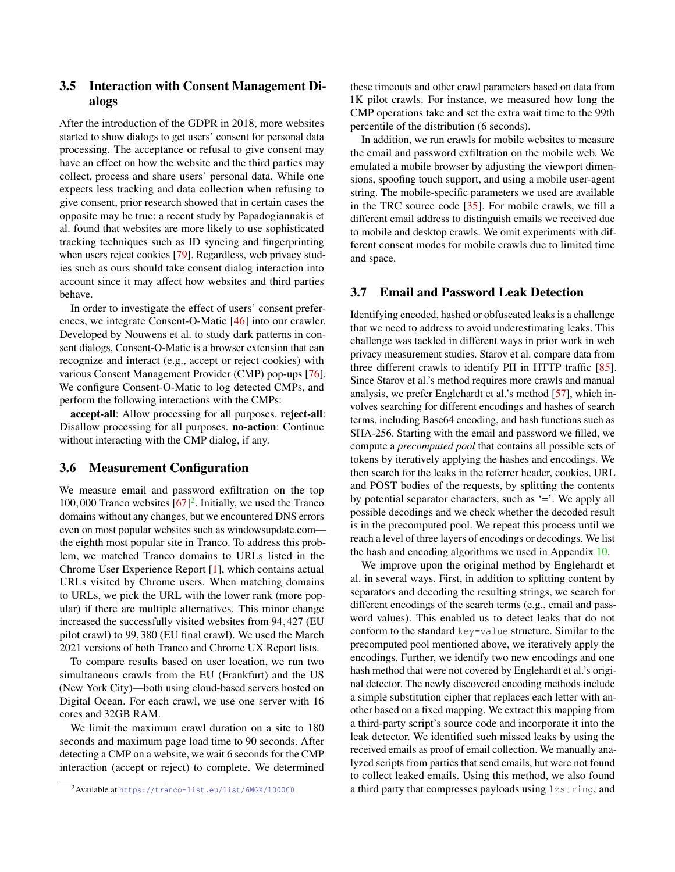## 3.5 Interaction with Consent Management Dialogs

After the introduction of the GDPR in 2018, more websites started to show dialogs to get users' consent for personal data processing. The acceptance or refusal to give consent may have an effect on how the website and the third parties may collect, process and share users' personal data. While one expects less tracking and data collection when refusing to give consent, prior research showed that in certain cases the opposite may be true: a recent study by Papadogiannakis et al. found that websites are more likely to use sophisticated tracking techniques such as ID syncing and fingerprinting when users reject cookies [\[79\]](#page-16-13). Regardless, web privacy studies such as ours should take consent dialog interaction into account since it may affect how websites and third parties behave.

In order to investigate the effect of users' consent preferences, we integrate Consent-O-Matic [\[46\]](#page-15-5) into our crawler. Developed by Nouwens et al. to study dark patterns in consent dialogs, Consent-O-Matic is a browser extension that can recognize and interact (e.g., accept or reject cookies) with various Consent Management Provider (CMP) pop-ups [\[76\]](#page-16-14). We configure Consent-O-Matic to log detected CMPs, and perform the following interactions with the CMPs:

accept-all: Allow processing for all purposes. reject-all: Disallow processing for all purposes. no-action: Continue without interacting with the CMP dialog, if any.

#### 3.6 Measurement Configuration

We measure email and password exfiltration on the top 100,000 Tranco websites  $[67]^2$  $[67]^2$  $[67]^2$ . Initially, we used the Tranco domains without any changes, but we encountered DNS errors even on most popular websites such as windowsupdate.com the eighth most popular site in Tranco. To address this problem, we matched Tranco domains to URLs listed in the Chrome User Experience Report [\[1\]](#page-13-1), which contains actual URLs visited by Chrome users. When matching domains to URLs, we pick the URL with the lower rank (more popular) if there are multiple alternatives. This minor change increased the successfully visited websites from 94,427 (EU pilot crawl) to 99,380 (EU final crawl). We used the March 2021 versions of both Tranco and Chrome UX Report lists.

To compare results based on user location, we run two simultaneous crawls from the EU (Frankfurt) and the US (New York City)—both using cloud-based servers hosted on Digital Ocean. For each crawl, we use one server with 16 cores and 32GB RAM.

We limit the maximum crawl duration on a site to 180 seconds and maximum page load time to 90 seconds. After detecting a CMP on a website, we wait 6 seconds for the CMP interaction (accept or reject) to complete. We determined these timeouts and other crawl parameters based on data from 1K pilot crawls. For instance, we measured how long the CMP operations take and set the extra wait time to the 99th percentile of the distribution (6 seconds).

In addition, we run crawls for mobile websites to measure the email and password exfiltration on the mobile web. We emulated a mobile browser by adjusting the viewport dimensions, spoofing touch support, and using a mobile user-agent string. The mobile-specific parameters we used are available in the TRC source code [\[35\]](#page-14-4). For mobile crawls, we fill a different email address to distinguish emails we received due to mobile and desktop crawls. We omit experiments with different consent modes for mobile crawls due to limited time and space.

#### <span id="page-4-1"></span>3.7 Email and Password Leak Detection

Identifying encoded, hashed or obfuscated leaks is a challenge that we need to address to avoid underestimating leaks. This challenge was tackled in different ways in prior work in web privacy measurement studies. Starov et al. compare data from three different crawls to identify PII in HTTP traffic [\[85\]](#page-17-2). Since Starov et al.'s method requires more crawls and manual analysis, we prefer Englehardt et al.'s method [\[57\]](#page-15-4), which involves searching for different encodings and hashes of search terms, including Base64 encoding, and hash functions such as SHA-256. Starting with the email and password we filled, we compute a *precomputed pool* that contains all possible sets of tokens by iteratively applying the hashes and encodings. We then search for the leaks in the referrer header, cookies, URL and POST bodies of the requests, by splitting the contents by potential separator characters, such as '='. We apply all possible decodings and we check whether the decoded result is in the precomputed pool. We repeat this process until we reach a level of three layers of encodings or decodings. We list the hash and encoding algorithms we used in Appendix [10.](#page-17-6)

We improve upon the original method by Englehardt et al. in several ways. First, in addition to splitting content by separators and decoding the resulting strings, we search for different encodings of the search terms (e.g., email and password values). This enabled us to detect leaks that do not conform to the standard key=value structure. Similar to the precomputed pool mentioned above, we iteratively apply the encodings. Further, we identify two new encodings and one hash method that were not covered by Englehardt et al.'s original detector. The newly discovered encoding methods include a simple substitution cipher that replaces each letter with another based on a fixed mapping. We extract this mapping from a third-party script's source code and incorporate it into the leak detector. We identified such missed leaks by using the received emails as proof of email collection. We manually analyzed scripts from parties that send emails, but were not found to collect leaked emails. Using this method, we also found a third party that compresses payloads using lzstring, and

<span id="page-4-0"></span><sup>2</sup>Available at <https://tranco-list.eu/list/6WGX/100000>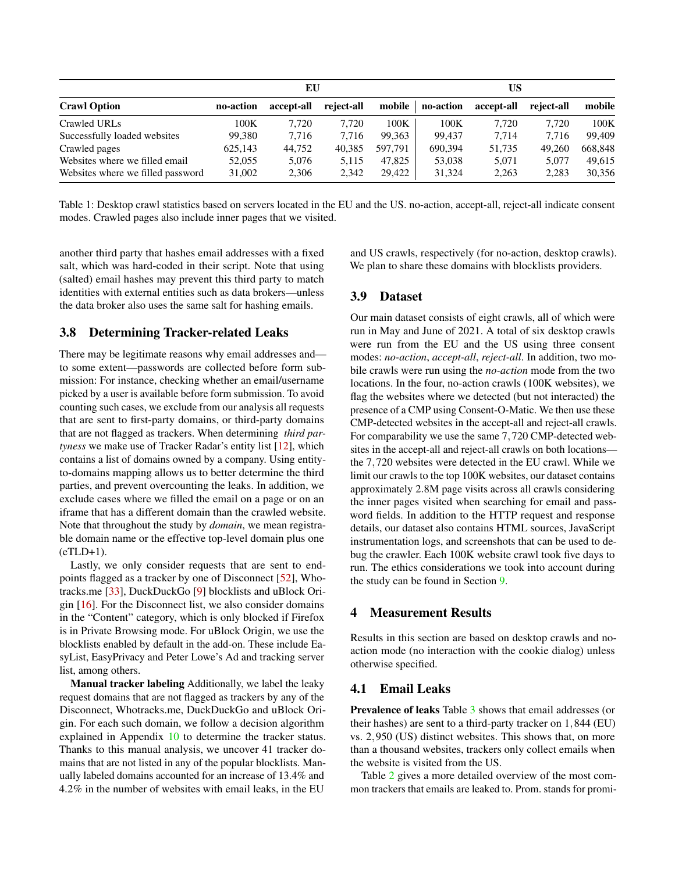|                                   |           | EU         |            |         |           | US         |            |         |
|-----------------------------------|-----------|------------|------------|---------|-----------|------------|------------|---------|
| <b>Crawl Option</b>               | no-action | accept-all | reject-all | mobile  | no-action | accept-all | reject-all | mobile  |
| Crawled URLs                      | 100K      | 7.720      | 7.720      | 100K    | 100K      | 7.720      | 7.720      | 100K    |
| Successfully loaded websites      | 99,380    | 7.716      | 7.716      | 99.363  | 99.437    | 7.714      | 7.716      | 99.409  |
| Crawled pages                     | 625,143   | 44.752     | 40.385     | 597.791 | 690.394   | 51.735     | 49,260     | 668,848 |
| Websites where we filled email    | 52,055    | 5,076      | 5.115      | 47,825  | 53,038    | 5,071      | 5.077      | 49.615  |
| Websites where we filled password | 31,002    | 2,306      | 2.342      | 29.422  | 31.324    | 2,263      | 2.283      | 30,356  |

Table 1: Desktop crawl statistics based on servers located in the EU and the US. no-action, accept-all, reject-all indicate consent modes. Crawled pages also include inner pages that we visited.

another third party that hashes email addresses with a fixed salt, which was hard-coded in their script. Note that using (salted) email hashes may prevent this third party to match identities with external entities such as data brokers—unless the data broker also uses the same salt for hashing emails.

## <span id="page-5-0"></span>3.8 Determining Tracker-related Leaks

There may be legitimate reasons why email addresses and to some extent—passwords are collected before form submission: For instance, checking whether an email/username picked by a user is available before form submission. To avoid counting such cases, we exclude from our analysis all requests that are sent to first-party domains, or third-party domains that are not flagged as trackers. When determining *third partyness* we make use of Tracker Radar's entity list [\[12\]](#page-14-12), which contains a list of domains owned by a company. Using entityto-domains mapping allows us to better determine the third parties, and prevent overcounting the leaks. In addition, we exclude cases where we filled the email on a page or on an iframe that has a different domain than the crawled website. Note that throughout the study by *domain*, we mean registrable domain name or the effective top-level domain plus one (eTLD+1).

Lastly, we only consider requests that are sent to endpoints flagged as a tracker by one of Disconnect [\[52\]](#page-15-12), Whotracks.me [\[33\]](#page-14-13), DuckDuckGo [\[9\]](#page-14-14) blocklists and uBlock Origin [\[16\]](#page-14-15). For the Disconnect list, we also consider domains in the "Content" category, which is only blocked if Firefox is in Private Browsing mode. For uBlock Origin, we use the blocklists enabled by default in the add-on. These include EasyList, EasyPrivacy and Peter Lowe's Ad and tracking server list, among others.

Manual tracker labeling Additionally, we label the leaky request domains that are not flagged as trackers by any of the Disconnect, Whotracks.me, DuckDuckGo and uBlock Origin. For each such domain, we follow a decision algorithm explained in Appendix [10](#page-17-7) to determine the tracker status. Thanks to this manual analysis, we uncover 41 tracker domains that are not listed in any of the popular blocklists. Manually labeled domains accounted for an increase of 13.4% and 4.2% in the number of websites with email leaks, in the EU

and US crawls, respectively (for no-action, desktop crawls). We plan to share these domains with blocklists providers.

## 3.9 Dataset

Our main dataset consists of eight crawls, all of which were run in May and June of 2021. A total of six desktop crawls were run from the EU and the US using three consent modes: *no-action*, *accept-all*, *reject-all*. In addition, two mobile crawls were run using the *no-action* mode from the two locations. In the four, no-action crawls (100K websites), we flag the websites where we detected (but not interacted) the presence of a CMP using Consent-O-Matic. We then use these CMP-detected websites in the accept-all and reject-all crawls. For comparability we use the same 7,720 CMP-detected websites in the accept-all and reject-all crawls on both locations the 7,720 websites were detected in the EU crawl. While we limit our crawls to the top 100K websites, our dataset contains approximately 2.8M page visits across all crawls considering the inner pages visited when searching for email and password fields. In addition to the HTTP request and response details, our dataset also contains HTML sources, JavaScript instrumentation logs, and screenshots that can be used to debug the crawler. Each 100K website crawl took five days to run. The ethics considerations we took into account during the study can be found in Section [9.](#page-13-2)

#### 4 Measurement Results

Results in this section are based on desktop crawls and noaction mode (no interaction with the cookie dialog) unless otherwise specified.

#### 4.1 Email Leaks

Prevalence of leaks Table [3](#page-6-0) shows that email addresses (or their hashes) are sent to a third-party tracker on 1,844 (EU) vs. 2,950 (US) distinct websites. This shows that, on more than a thousand websites, trackers only collect emails when the website is visited from the US.

Table [2](#page-6-1) gives a more detailed overview of the most common trackers that emails are leaked to. Prom. stands for promi-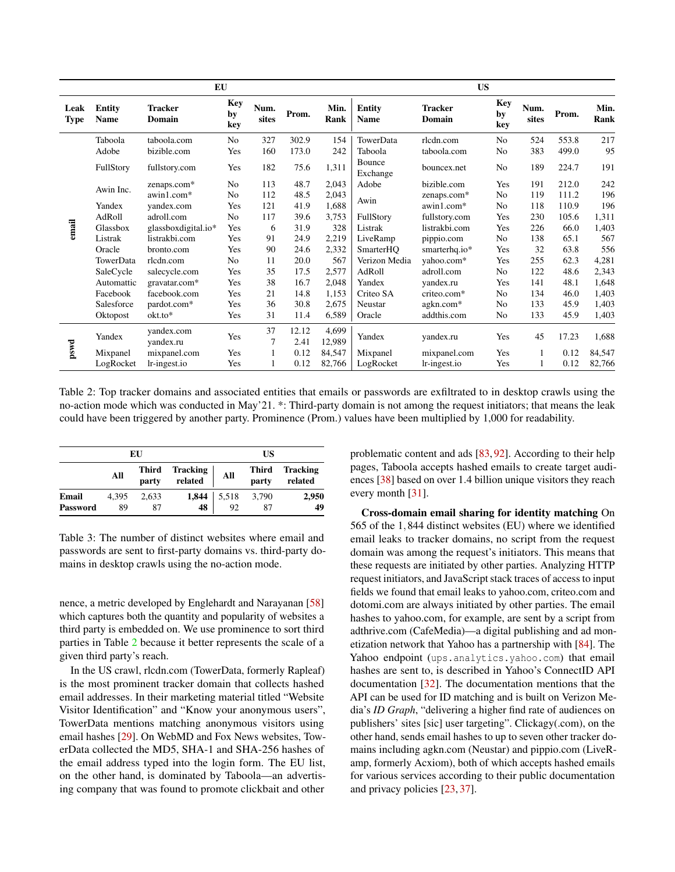|                     | EU                           |                          |                  |                      |               |                 |                              | <b>US</b>                |                  |               |       |              |  |
|---------------------|------------------------------|--------------------------|------------------|----------------------|---------------|-----------------|------------------------------|--------------------------|------------------|---------------|-------|--------------|--|
| Leak<br><b>Type</b> | <b>Entity</b><br><b>Name</b> | <b>Tracker</b><br>Domain | Key<br>by<br>key | Num.<br>sites        | Prom.         | Min.<br>Rank    | <b>Entity</b><br><b>Name</b> | <b>Tracker</b><br>Domain | Key<br>by<br>key | Num.<br>sites | Prom. | Min.<br>Rank |  |
|                     | Taboola                      | taboola.com              | No               | 327                  | 302.9         | 154             | TowerData                    | rlcdn.com                | No               | 524           | 553.8 | 217          |  |
|                     | Adobe                        | bizible.com              | Yes              | 160                  | 173.0         | 242             | Taboola                      | taboola.com              | No               | 383           | 499.0 | 95           |  |
|                     | FullStory                    | fullstory.com            | Yes              | 182                  | 75.6          | 1,311           | Bounce<br>Exchange           | bouncex.net              | N <sub>o</sub>   | 189           | 224.7 | 191          |  |
|                     |                              | zenaps.com*              | N <sub>o</sub>   | 113                  | 48.7          | 2,043           | Adobe                        | bizible.com              | Yes              | 191           | 212.0 | 242          |  |
|                     | Awin Inc.                    | awin1.com*               | N <sub>o</sub>   | 112                  | 48.5          | 2,043           |                              | zenaps.com*              | No               | 119           | 111.2 | 196          |  |
|                     | Yandex                       | vandex.com               | Yes              | 121                  | 41.9          | 1,688           | Awin                         | awin1.com*               | No               | 118           | 110.9 | 196          |  |
|                     | AdRoll                       | adroll.com               | No               | 117                  | 39.6          | 3,753           | FullStory                    | fullstory.com            | Yes              | 230           | 105.6 | 1,311        |  |
| email               | Glassbox                     | glassboxdigital.io*      | Yes              | 6                    | 31.9          | 328             | Listrak                      | listrakbi.com            | Yes              | 226           | 66.0  | 1,403        |  |
|                     | Listrak                      | listrakbi.com            | Yes              | 91                   | 24.9          | 2,219           | LiveRamp                     | pippio.com               | No               | 138           | 65.1  | 567          |  |
|                     | Oracle                       | bronto.com               | Yes              | 90                   | 24.6          | 2,332           | SmarterHQ                    | smarterhq.io*            | Yes              | 32            | 63.8  | 556          |  |
|                     | TowerData                    | rlcdn.com                | N <sub>o</sub>   | 11                   | 20.0          | 567             | Verizon Media                | vahoo.com*               | Yes              | 255           | 62.3  | 4,281        |  |
|                     | SaleCycle                    | salecycle.com            | Yes              | 35                   | 17.5          | 2,577           | AdRoll                       | adroll.com               | N <sub>o</sub>   | 122           | 48.6  | 2,343        |  |
|                     | Automattic                   | gravatar.com*            | Yes              | 38                   | 16.7          | 2,048           | Yandex                       | yandex.ru                | Yes              | 141           | 48.1  | 1,648        |  |
|                     | Facebook                     | facebook.com             | Yes              | 21                   | 14.8          | 1,153           | Criteo SA                    | criteo.com*              | N <sub>o</sub>   | 134           | 46.0  | 1,403        |  |
|                     | Salesforce                   | pardot.com*              | Yes              | 36                   | 30.8          | 2,675           | Neustar                      | agkn.com*                | No               | 133           | 45.9  | 1,403        |  |
|                     | Oktopost                     | okt.to*                  | Yes              | 31                   | 11.4          | 6,589           | Oracle                       | addthis.com              | No               | 133           | 45.9  | 1,403        |  |
|                     | Yandex                       | yandex.com<br>yandex.ru  | Yes              | 37<br>$\overline{7}$ | 12.12<br>2.41 | 4,699<br>12,989 | Yandex                       | yandex.ru                | Yes              | 45            | 17.23 | 1,688        |  |
| $_{pswd}$           | Mixpanel                     | mixpanel.com             | Yes              |                      | 0.12          | 84,547          | Mixpanel                     | mixpanel.com             | Yes              |               | 0.12  | 84,547       |  |
|                     | LogRocket                    | lr-ingest.io             | Yes              |                      | 0.12          | 82,766          | LogRocket                    | lr-ingest.io             | Yes              |               | 0.12  | 82,766       |  |

Table 2: Top tracker domains and associated entities that emails or passwords are exfiltrated to in desktop crawls using the no-action mode which was conducted in May'21. \*: Third-party domain is not among the request initiators; that means the leak could have been triggered by another party. Prominence (Prom.) values have been multiplied by 1,000 for readability.

|                          | EU          | US                    |                            |                     |                |                            |
|--------------------------|-------------|-----------------------|----------------------------|---------------------|----------------|----------------------------|
|                          | All         | <b>Third</b><br>party | <b>Tracking</b><br>related | All                 | Third<br>party | <b>Tracking</b><br>related |
| Email<br><b>Password</b> | 4.395<br>89 | 2.633<br>87           | 48                         | 1,844   5,518<br>92 | 3,790<br>87    | 2.950<br>49                |

<span id="page-6-0"></span>Table 3: The number of distinct websites where email and passwords are sent to first-party domains vs. third-party domains in desktop crawls using the no-action mode.

nence, a metric developed by Englehardt and Narayanan [\[58\]](#page-15-2) which captures both the quantity and popularity of websites a third party is embedded on. We use prominence to sort third parties in Table [2](#page-6-1) because it better represents the scale of a given third party's reach.

In the US crawl, rlcdn.com (TowerData, formerly Rapleaf) is the most prominent tracker domain that collects hashed email addresses. In their marketing material titled "Website Visitor Identification" and "Know your anonymous users", TowerData mentions matching anonymous visitors using email hashes [\[29\]](#page-14-16). On WebMD and Fox News websites, TowerData collected the MD5, SHA-1 and SHA-256 hashes of the email address typed into the login form. The EU list, on the other hand, is dominated by Taboola—an advertising company that was found to promote clickbait and other

<span id="page-6-1"></span>problematic content and ads [\[83,](#page-17-8) [92\]](#page-17-9). According to their help pages, Taboola accepts hashed emails to create target audiences [\[38\]](#page-15-13) based on over 1.4 billion unique visitors they reach every month [\[31\]](#page-14-17).

Cross-domain email sharing for identity matching On 565 of the 1,844 distinct websites (EU) where we identified email leaks to tracker domains, no script from the request domain was among the request's initiators. This means that these requests are initiated by other parties. Analyzing HTTP request initiators, and JavaScript stack traces of access to input fields we found that email leaks to yahoo.com, criteo.com and dotomi.com are always initiated by other parties. The email hashes to yahoo.com, for example, are sent by a script from adthrive.com (CafeMedia)—a digital publishing and ad monetization network that Yahoo has a partnership with [\[84\]](#page-17-10). The Yahoo endpoint (ups.analytics.yahoo.com) that email hashes are sent to, is described in Yahoo's ConnectID API documentation [\[32\]](#page-14-18). The documentation mentions that the API can be used for ID matching and is built on Verizon Media's *ID Graph*, "delivering a higher find rate of audiences on publishers' sites [sic] user targeting". Clickagy(.com), on the other hand, sends email hashes to up to seven other tracker domains including agkn.com (Neustar) and pippio.com (LiveRamp, formerly Acxiom), both of which accepts hashed emails for various services according to their public documentation and privacy policies [\[23,](#page-14-19) [37\]](#page-14-20).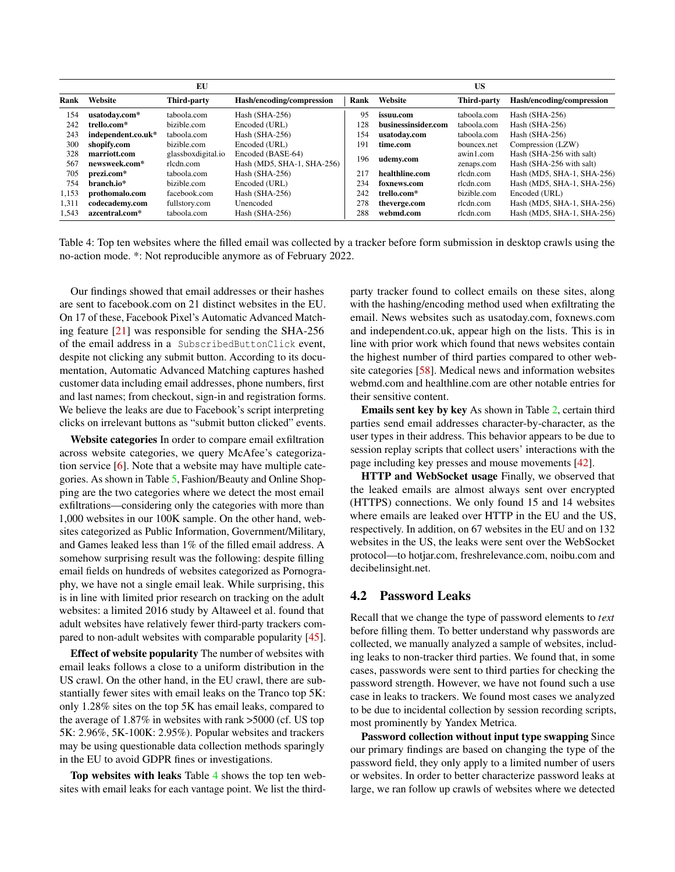|       |                    | EU                 |                            | <b>US</b> |                     |             |                            |
|-------|--------------------|--------------------|----------------------------|-----------|---------------------|-------------|----------------------------|
| Rank  | Website            | Third-party        | Hash/encoding/compression  | Rank      | Website             | Third-party | Hash/encoding/compression  |
| 154   | usatoday.com*      | taboola.com        | Hash $(SHA-256)$           | 95        | issuu.com           | taboola.com | Hash $(SHA-256)$           |
| 242   | trello.com*        | bizible.com        | Encoded (URL)              | 128       | businessinsider.com | taboola.com | Hash $(SHA-256)$           |
| 243   | independent.co.uk* | taboola.com        | Hash $(SHA-256)$           | 154       | usatoday.com        | taboola.com | Hash $(SHA-256)$           |
| 300   | shopify.com        | bizible.com        | Encoded (URL)              | 191       | time.com            | bouncex.net | Compression (LZW)          |
| 328   | marriott.com       | glassboxdigital.io | Encoded (BASE-64)          |           |                     | awin1.com   | Hash (SHA-256 with salt)   |
| 567   | newsweek.com*      | rlcdn.com          | Hash (MD5, SHA-1, SHA-256) | 196       | udemy.com           | zenaps.com  | Hash (SHA-256 with salt)   |
| 705   | prezi.com*         | taboola.com        | Hash (SHA-256)             | 217       | healthline.com      | rlcdn.com   | Hash (MD5, SHA-1, SHA-256) |
| 754   | branch.io*         | bizible.com        | Encoded (URL)              | 234       | foxnews.com         | rlcdn.com   | Hash (MD5, SHA-1, SHA-256) |
| 1,153 | prothomalo.com     | facebook.com       | Hash $(SHA-256)$           | 242       | trello.com*         | bizible.com | Encoded (URL)              |
| 1.311 | codecademy.com     | fullstory.com      | Unencoded                  | 278       | theverge.com        | rlcdn.com   | Hash (MD5, SHA-1, SHA-256) |
| 1.543 | azcentral.com*     | taboola.com        | Hash (SHA-256)             | 288       | webmd.com           | rlcdn.com   | Hash (MD5, SHA-1, SHA-256) |

Table 4: Top ten websites where the filled email was collected by a tracker before form submission in desktop crawls using the no-action mode. \*: Not reproducible anymore as of February 2022.

Our findings showed that email addresses or their hashes are sent to facebook.com on 21 distinct websites in the EU. On 17 of these, Facebook Pixel's Automatic Advanced Matching feature  $[21]$  was responsible for sending the SHA-256 of the email address in a SubscribedButtonClick event, despite not clicking any submit button. According to its documentation, Automatic Advanced Matching captures hashed customer data including email addresses, phone numbers, first and last names; from checkout, sign-in and registration forms. We believe the leaks are due to Facebook's script interpreting clicks on irrelevant buttons as "submit button clicked" events.

Website categories In order to compare email exfiltration across website categories, we query McAfee's categorization service [\[6\]](#page-13-3). Note that a website may have multiple categories. As shown in Table [5,](#page-8-0) Fashion/Beauty and Online Shopping are the two categories where we detect the most email exfiltrations—considering only the categories with more than 1,000 websites in our 100K sample. On the other hand, websites categorized as Public Information, Government/Military, and Games leaked less than 1% of the filled email address. A somehow surprising result was the following: despite filling email fields on hundreds of websites categorized as Pornography, we have not a single email leak. While surprising, this is in line with limited prior research on tracking on the adult websites: a limited 2016 study by Altaweel et al. found that adult websites have relatively fewer third-party trackers compared to non-adult websites with comparable popularity [\[45\]](#page-15-14).

Effect of website popularity The number of websites with email leaks follows a close to a uniform distribution in the US crawl. On the other hand, in the EU crawl, there are substantially fewer sites with email leaks on the Tranco top 5K: only 1.28% sites on the top 5K has email leaks, compared to the average of 1.87% in websites with rank >5000 (cf. US top 5K: 2.96%, 5K-100K: 2.95%). Popular websites and trackers may be using questionable data collection methods sparingly in the EU to avoid GDPR fines or investigations.

Top websites with leaks Table [4](#page-7-1) shows the top ten websites with email leaks for each vantage point. We list the third<span id="page-7-1"></span>party tracker found to collect emails on these sites, along with the hashing/encoding method used when exfiltrating the email. News websites such as usatoday.com, foxnews.com and independent.co.uk, appear high on the lists. This is in line with prior work which found that news websites contain the highest number of third parties compared to other website categories [\[58\]](#page-15-2). Medical news and information websites webmd.com and healthline.com are other notable entries for their sensitive content.

Emails sent key by key As shown in Table [2,](#page-6-1) certain third parties send email addresses character-by-character, as the user types in their address. This behavior appears to be due to session replay scripts that collect users' interactions with the page including key presses and mouse movements [\[42\]](#page-15-3).

HTTP and WebSocket usage Finally, we observed that the leaked emails are almost always sent over encrypted (HTTPS) connections. We only found 15 and 14 websites where emails are leaked over HTTP in the EU and the US, respectively. In addition, on 67 websites in the EU and on 132 websites in the US, the leaks were sent over the WebSocket protocol—to hotjar.com, freshrelevance.com, noibu.com and decibelinsight.net.

#### <span id="page-7-0"></span>4.2 Password Leaks

Recall that we change the type of password elements to *text* before filling them. To better understand why passwords are collected, we manually analyzed a sample of websites, including leaks to non-tracker third parties. We found that, in some cases, passwords were sent to third parties for checking the password strength. However, we have not found such a use case in leaks to trackers. We found most cases we analyzed to be due to incidental collection by session recording scripts, most prominently by Yandex Metrica.

Password collection without input type swapping Since our primary findings are based on changing the type of the password field, they only apply to a limited number of users or websites. In order to better characterize password leaks at large, we ran follow up crawls of websites where we detected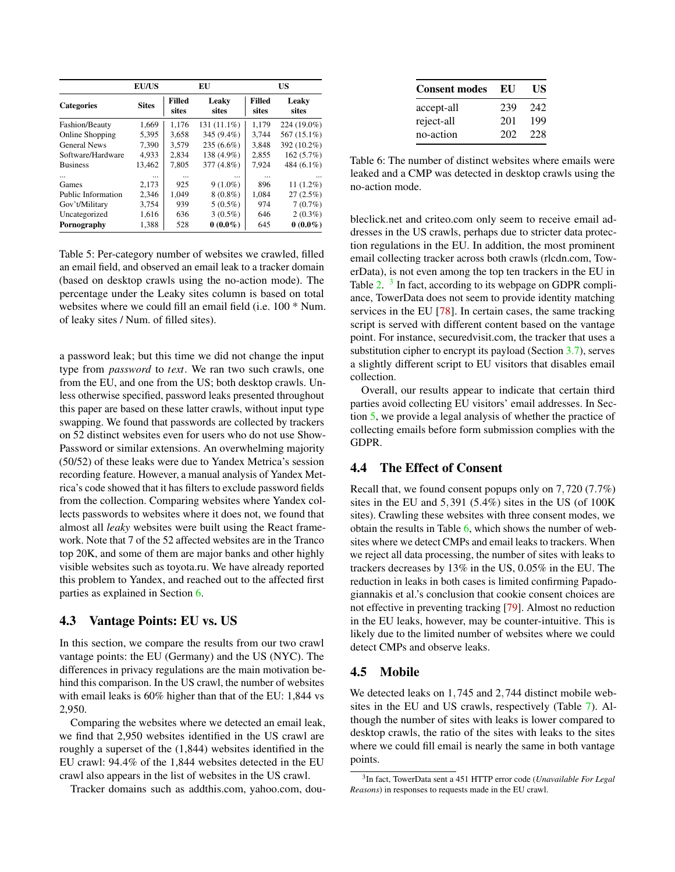|                     | <b>EU/US</b> |                        | EU             |                 | <b>US</b>      |
|---------------------|--------------|------------------------|----------------|-----------------|----------------|
| <b>Categories</b>   | <b>Sites</b> | <b>Filled</b><br>sites | Leaky<br>sites | Filled<br>sites | Leaky<br>sites |
| Fashion/Beauty      | 1,669        | 1,176                  | $131(11.1\%)$  | 1,179           | 224 (19.0%)    |
| Online Shopping     | 5,395        | 3,658                  | 345 (9.4%)     | 3,744           | 567 (15.1%)    |
| <b>General News</b> | 7.390        | 3.579                  | $235(6.6\%)$   | 3,848           | 392 (10.2%)    |
| Software/Hardware   | 4,933        | 2,834                  | 138 (4.9%)     | 2,855           | 162(5.7%)      |
| <b>Business</b>     | 13,462       | 7.805                  | 377 (4.8%)     | 7,924           | 484 (6.1%)     |
| $\cdots$            | $\cdots$     |                        | $\cdots$       |                 |                |
| Games               | 2,173        | 925                    | $9(1.0\%)$     | 896             | $11(1.2\%)$    |
| Public Information  | 2,346        | 1.049                  | $8(0.8\%)$     | 1,084           | $27(2.5\%)$    |
| Gov't/Military      | 3,754        | 939                    | $5(0.5\%)$     | 974             | $7(0.7\%)$     |
| Uncategorized       | 1,616        | 636                    | $3(0.5\%)$     | 646             | $2(0.3\%)$     |
| Pornography         | 1,388        | 528                    | $0(0.0\%)$     | 645             | $0(0.0\%)$     |

<span id="page-8-0"></span>Table 5: Per-category number of websites we crawled, filled an email field, and observed an email leak to a tracker domain (based on desktop crawls using the no-action mode). The percentage under the Leaky sites column is based on total websites where we could fill an email field (i.e. 100 \* Num. of leaky sites / Num. of filled sites).

a password leak; but this time we did not change the input type from *password* to *text*. We ran two such crawls, one from the EU, and one from the US; both desktop crawls. Unless otherwise specified, password leaks presented throughout this paper are based on these latter crawls, without input type swapping. We found that passwords are collected by trackers on 52 distinct websites even for users who do not use Show-Password or similar extensions. An overwhelming majority (50/52) of these leaks were due to Yandex Metrica's session recording feature. However, a manual analysis of Yandex Metrica's code showed that it has filters to exclude password fields from the collection. Comparing websites where Yandex collects passwords to websites where it does not, we found that almost all *leaky* websites were built using the React framework. Note that 7 of the 52 affected websites are in the Tranco top 20K, and some of them are major banks and other highly visible websites such as toyota.ru. We have already reported this problem to Yandex, and reached out to the affected first parties as explained in Section [6.](#page-10-0)

#### 4.3 Vantage Points: EU vs. US

In this section, we compare the results from our two crawl vantage points: the EU (Germany) and the US (NYC). The differences in privacy regulations are the main motivation behind this comparison. In the US crawl, the number of websites with email leaks is 60% higher than that of the EU: 1,844 vs 2,950.

Comparing the websites where we detected an email leak, we find that 2,950 websites identified in the US crawl are roughly a superset of the (1,844) websites identified in the EU crawl: 94.4% of the 1,844 websites detected in the EU crawl also appears in the list of websites in the US crawl.

Tracker domains such as addthis.com, yahoo.com, dou-

<span id="page-8-2"></span>

| <b>Consent modes</b> | EU  | US  |
|----------------------|-----|-----|
| accept-all           | 239 | 242 |
| reject-all           | 201 | 199 |
| no-action            | 202 | 228 |

Table 6: The number of distinct websites where emails were leaked and a CMP was detected in desktop crawls using the no-action mode.

bleclick.net and criteo.com only seem to receive email addresses in the US crawls, perhaps due to stricter data protection regulations in the EU. In addition, the most prominent email collecting tracker across both crawls (rlcdn.com, TowerData), is not even among the top ten trackers in the EU in Table [2.](#page-6-1) <sup>[3](#page-8-1)</sup> In fact, according to its webpage on GDPR compliance, TowerData does not seem to provide identity matching services in the EU [\[78\]](#page-16-16). In certain cases, the same tracking script is served with different content based on the vantage point. For instance, securedvisit.com, the tracker that uses a substitution cipher to encrypt its payload (Section [3.7\)](#page-4-1), serves a slightly different script to EU visitors that disables email collection.

Overall, our results appear to indicate that certain third parties avoid collecting EU visitors' email addresses. In Section [5,](#page-9-0) we provide a legal analysis of whether the practice of collecting emails before form submission complies with the GDPR.

#### 4.4 The Effect of Consent

Recall that, we found consent popups only on 7,720 (7.7%) sites in the EU and 5,391 (5.4%) sites in the US (of 100K sites). Crawling these websites with three consent modes, we obtain the results in Table  $6$ , which shows the number of websites where we detect CMPs and email leaks to trackers. When we reject all data processing, the number of sites with leaks to trackers decreases by 13% in the US, 0.05% in the EU. The reduction in leaks in both cases is limited confirming Papadogiannakis et al.'s conclusion that cookie consent choices are not effective in preventing tracking [\[79\]](#page-16-13). Almost no reduction in the EU leaks, however, may be counter-intuitive. This is likely due to the limited number of websites where we could detect CMPs and observe leaks.

## 4.5 Mobile

We detected leaks on 1,745 and 2,744 distinct mobile websites in the EU and US crawls, respectively (Table [7\)](#page-9-1). Although the number of sites with leaks is lower compared to desktop crawls, the ratio of the sites with leaks to the sites where we could fill email is nearly the same in both vantage points.

<span id="page-8-1"></span><sup>3</sup> In fact, TowerData sent a 451 HTTP error code (*Unavailable For Legal Reasons*) in responses to requests made in the EU crawl.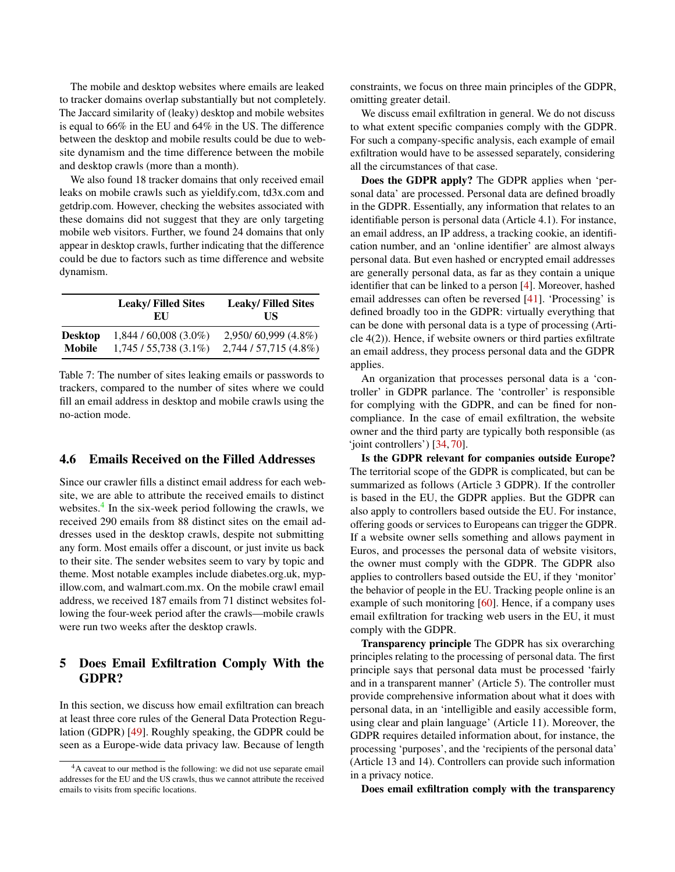The mobile and desktop websites where emails are leaked to tracker domains overlap substantially but not completely. The Jaccard similarity of (leaky) desktop and mobile websites is equal to 66% in the EU and 64% in the US. The difference between the desktop and mobile results could be due to website dynamism and the time difference between the mobile and desktop crawls (more than a month).

We also found 18 tracker domains that only received email leaks on mobile crawls such as yieldify.com, td3x.com and getdrip.com. However, checking the websites associated with these domains did not suggest that they are only targeting mobile web visitors. Further, we found 24 domains that only appear in desktop crawls, further indicating that the difference could be due to factors such as time difference and website dynamism.

|                | <b>Leaky/Filled Sites</b><br>EU | <b>Leaky/Filled Sites</b><br>НS |
|----------------|---------------------------------|---------------------------------|
| <b>Desktop</b> | $1,844/60,008(3.0\%)$           | $2,950/60,999(4.8\%)$           |
| Mobile         | $1,745/55,738(3.1\%)$           | 2,744 / 57,715 (4.8%)           |

Table 7: The number of sites leaking emails or passwords to trackers, compared to the number of sites where we could fill an email address in desktop and mobile crawls using the no-action mode.

### 4.6 Emails Received on the Filled Addresses

Since our crawler fills a distinct email address for each website, we are able to attribute the received emails to distinct websites.<sup>[4](#page-9-2)</sup> In the six-week period following the crawls, we received 290 emails from 88 distinct sites on the email addresses used in the desktop crawls, despite not submitting any form. Most emails offer a discount, or just invite us back to their site. The sender websites seem to vary by topic and theme. Most notable examples include diabetes.org.uk, mypillow.com, and walmart.com.mx. On the mobile crawl email address, we received 187 emails from 71 distinct websites following the four-week period after the crawls—mobile crawls were run two weeks after the desktop crawls.

## <span id="page-9-0"></span>5 Does Email Exfiltration Comply With the GDPR?

In this section, we discuss how email exfiltration can breach at least three core rules of the General Data Protection Regulation (GDPR) [\[49\]](#page-15-15). Roughly speaking, the GDPR could be seen as a Europe-wide data privacy law. Because of length

constraints, we focus on three main principles of the GDPR, omitting greater detail.

We discuss email exfiltration in general. We do not discuss to what extent specific companies comply with the GDPR. For such a company-specific analysis, each example of email exfiltration would have to be assessed separately, considering all the circumstances of that case.

Does the GDPR apply? The GDPR applies when 'personal data' are processed. Personal data are defined broadly in the GDPR. Essentially, any information that relates to an identifiable person is personal data (Article 4.1). For instance, an email address, an IP address, a tracking cookie, an identification number, and an 'online identifier' are almost always personal data. But even hashed or encrypted email addresses are generally personal data, as far as they contain a unique identifier that can be linked to a person [\[4\]](#page-13-4). Moreover, hashed email addresses can often be reversed [\[41\]](#page-15-16). 'Processing' is defined broadly too in the GDPR: virtually everything that can be done with personal data is a type of processing (Article 4(2)). Hence, if website owners or third parties exfiltrate an email address, they process personal data and the GDPR applies.

<span id="page-9-1"></span>An organization that processes personal data is a 'controller' in GDPR parlance. The 'controller' is responsible for complying with the GDPR, and can be fined for noncompliance. In the case of email exfiltration, the website owner and the third party are typically both responsible (as 'joint controllers') [\[34,](#page-14-22) [70\]](#page-16-17).

Is the GDPR relevant for companies outside Europe? The territorial scope of the GDPR is complicated, but can be summarized as follows (Article 3 GDPR). If the controller is based in the EU, the GDPR applies. But the GDPR can also apply to controllers based outside the EU. For instance, offering goods or services to Europeans can trigger the GDPR. If a website owner sells something and allows payment in Euros, and processes the personal data of website visitors, the owner must comply with the GDPR. The GDPR also applies to controllers based outside the EU, if they 'monitor' the behavior of people in the EU. Tracking people online is an example of such monitoring [\[60\]](#page-16-18). Hence, if a company uses email exfiltration for tracking web users in the EU, it must comply with the GDPR.

Transparency principle The GDPR has six overarching principles relating to the processing of personal data. The first principle says that personal data must be processed 'fairly and in a transparent manner' (Article 5). The controller must provide comprehensive information about what it does with personal data, in an 'intelligible and easily accessible form, using clear and plain language' (Article 11). Moreover, the GDPR requires detailed information about, for instance, the processing 'purposes', and the 'recipients of the personal data' (Article 13 and 14). Controllers can provide such information in a privacy notice.

Does email exfiltration comply with the transparency

<span id="page-9-2"></span><sup>4</sup>A caveat to our method is the following: we did not use separate email addresses for the EU and the US crawls, thus we cannot attribute the received emails to visits from specific locations.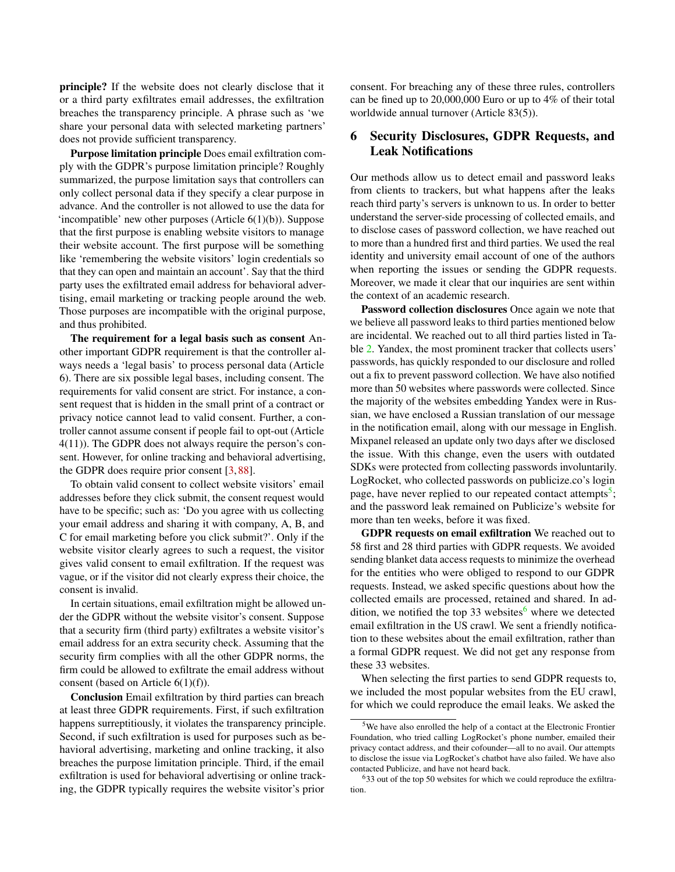principle? If the website does not clearly disclose that it or a third party exfiltrates email addresses, the exfiltration breaches the transparency principle. A phrase such as 'we share your personal data with selected marketing partners' does not provide sufficient transparency.

Purpose limitation principle Does email exfiltration comply with the GDPR's purpose limitation principle? Roughly summarized, the purpose limitation says that controllers can only collect personal data if they specify a clear purpose in advance. And the controller is not allowed to use the data for 'incompatible' new other purposes (Article  $6(1)(b)$ ). Suppose that the first purpose is enabling website visitors to manage their website account. The first purpose will be something like 'remembering the website visitors' login credentials so that they can open and maintain an account'. Say that the third party uses the exfiltrated email address for behavioral advertising, email marketing or tracking people around the web. Those purposes are incompatible with the original purpose, and thus prohibited.

The requirement for a legal basis such as consent Another important GDPR requirement is that the controller always needs a 'legal basis' to process personal data (Article 6). There are six possible legal bases, including consent. The requirements for valid consent are strict. For instance, a consent request that is hidden in the small print of a contract or privacy notice cannot lead to valid consent. Further, a controller cannot assume consent if people fail to opt-out (Article 4(11)). The GDPR does not always require the person's consent. However, for online tracking and behavioral advertising, the GDPR does require prior consent [\[3,](#page-13-5) [88\]](#page-17-11).

To obtain valid consent to collect website visitors' email addresses before they click submit, the consent request would have to be specific; such as: 'Do you agree with us collecting your email address and sharing it with company, A, B, and C for email marketing before you click submit?'. Only if the website visitor clearly agrees to such a request, the visitor gives valid consent to email exfiltration. If the request was vague, or if the visitor did not clearly express their choice, the consent is invalid.

In certain situations, email exfiltration might be allowed under the GDPR without the website visitor's consent. Suppose that a security firm (third party) exfiltrates a website visitor's email address for an extra security check. Assuming that the security firm complies with all the other GDPR norms, the firm could be allowed to exfiltrate the email address without consent (based on Article 6(1)(f)).

Conclusion Email exfiltration by third parties can breach at least three GDPR requirements. First, if such exfiltration happens surreptitiously, it violates the transparency principle. Second, if such exfiltration is used for purposes such as behavioral advertising, marketing and online tracking, it also breaches the purpose limitation principle. Third, if the email exfiltration is used for behavioral advertising or online tracking, the GDPR typically requires the website visitor's prior

consent. For breaching any of these three rules, controllers can be fined up to 20,000,000 Euro or up to 4% of their total worldwide annual turnover (Article 83(5)).

## <span id="page-10-0"></span>6 Security Disclosures, GDPR Requests, and Leak Notifications

Our methods allow us to detect email and password leaks from clients to trackers, but what happens after the leaks reach third party's servers is unknown to us. In order to better understand the server-side processing of collected emails, and to disclose cases of password collection, we have reached out to more than a hundred first and third parties. We used the real identity and university email account of one of the authors when reporting the issues or sending the GDPR requests. Moreover, we made it clear that our inquiries are sent within the context of an academic research.

Password collection disclosures Once again we note that we believe all password leaks to third parties mentioned below are incidental. We reached out to all third parties listed in Ta-ble [2.](#page-6-1) Yandex, the most prominent tracker that collects users' passwords, has quickly responded to our disclosure and rolled out a fix to prevent password collection. We have also notified more than 50 websites where passwords were collected. Since the majority of the websites embedding Yandex were in Russian, we have enclosed a Russian translation of our message in the notification email, along with our message in English. Mixpanel released an update only two days after we disclosed the issue. With this change, even the users with outdated SDKs were protected from collecting passwords involuntarily. LogRocket, who collected passwords on publicize.co's login page, have never replied to our repeated contact attempts<sup>[5](#page-10-1)</sup>; and the password leak remained on Publicize's website for more than ten weeks, before it was fixed.

GDPR requests on email exfiltration We reached out to 58 first and 28 third parties with GDPR requests. We avoided sending blanket data access requests to minimize the overhead for the entities who were obliged to respond to our GDPR requests. Instead, we asked specific questions about how the collected emails are processed, retained and shared. In ad-dition, we notified the top 33 websites<sup>[6](#page-10-2)</sup> where we detected email exfiltration in the US crawl. We sent a friendly notification to these websites about the email exfiltration, rather than a formal GDPR request. We did not get any response from these 33 websites.

When selecting the first parties to send GDPR requests to, we included the most popular websites from the EU crawl, for which we could reproduce the email leaks. We asked the

<span id="page-10-1"></span><sup>5</sup>We have also enrolled the help of a contact at the Electronic Frontier Foundation, who tried calling LogRocket's phone number, emailed their privacy contact address, and their cofounder—all to no avail. Our attempts to disclose the issue via LogRocket's chatbot have also failed. We have also contacted Publicize, and have not heard back.

<span id="page-10-2"></span> $633$  out of the top 50 websites for which we could reproduce the exfiltration.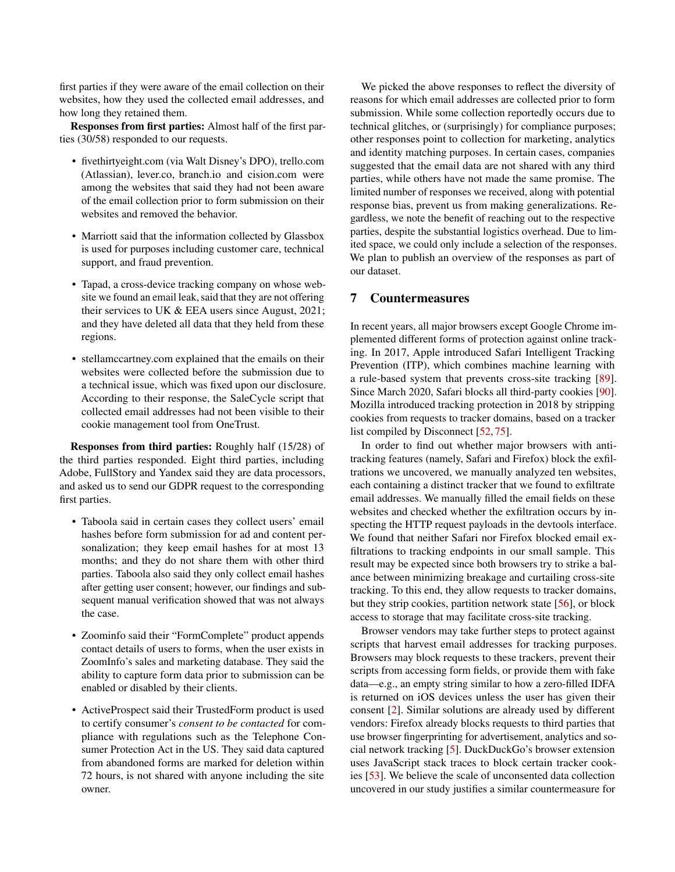first parties if they were aware of the email collection on their websites, how they used the collected email addresses, and how long they retained them.

Responses from first parties: Almost half of the first parties (30/58) responded to our requests.

- fivethirtyeight.com (via Walt Disney's DPO), trello.com (Atlassian), lever.co, branch.io and cision.com were among the websites that said they had not been aware of the email collection prior to form submission on their websites and removed the behavior.
- Marriott said that the information collected by Glassbox is used for purposes including customer care, technical support, and fraud prevention.
- Tapad, a cross-device tracking company on whose website we found an email leak, said that they are not offering their services to UK & EEA users since August, 2021; and they have deleted all data that they held from these regions.
- stellamccartney.com explained that the emails on their websites were collected before the submission due to a technical issue, which was fixed upon our disclosure. According to their response, the SaleCycle script that collected email addresses had not been visible to their cookie management tool from OneTrust.

Responses from third parties: Roughly half (15/28) of the third parties responded. Eight third parties, including Adobe, FullStory and Yandex said they are data processors, and asked us to send our GDPR request to the corresponding first parties.

- Taboola said in certain cases they collect users' email hashes before form submission for ad and content personalization; they keep email hashes for at most 13 months; and they do not share them with other third parties. Taboola also said they only collect email hashes after getting user consent; however, our findings and subsequent manual verification showed that was not always the case.
- Zoominfo said their "FormComplete" product appends contact details of users to forms, when the user exists in ZoomInfo's sales and marketing database. They said the ability to capture form data prior to submission can be enabled or disabled by their clients.
- ActiveProspect said their TrustedForm product is used to certify consumer's *consent to be contacted* for compliance with regulations such as the Telephone Consumer Protection Act in the US. They said data captured from abandoned forms are marked for deletion within 72 hours, is not shared with anyone including the site owner.

We picked the above responses to reflect the diversity of reasons for which email addresses are collected prior to form submission. While some collection reportedly occurs due to technical glitches, or (surprisingly) for compliance purposes; other responses point to collection for marketing, analytics and identity matching purposes. In certain cases, companies suggested that the email data are not shared with any third parties, while others have not made the same promise. The limited number of responses we received, along with potential response bias, prevent us from making generalizations. Regardless, we note the benefit of reaching out to the respective parties, despite the substantial logistics overhead. Due to limited space, we could only include a selection of the responses. We plan to publish an overview of the responses as part of our dataset.

#### 7 Countermeasures

In recent years, all major browsers except Google Chrome implemented different forms of protection against online tracking. In 2017, Apple introduced Safari Intelligent Tracking Prevention (ITP), which combines machine learning with a rule-based system that prevents cross-site tracking [\[89\]](#page-17-0). Since March 2020, Safari blocks all third-party cookies [\[90\]](#page-17-12). Mozilla introduced tracking protection in 2018 by stripping cookies from requests to tracker domains, based on a tracker list compiled by Disconnect [\[52,](#page-15-12) [75\]](#page-16-19).

In order to find out whether major browsers with antitracking features (namely, Safari and Firefox) block the exfiltrations we uncovered, we manually analyzed ten websites, each containing a distinct tracker that we found to exfiltrate email addresses. We manually filled the email fields on these websites and checked whether the exfiltration occurs by inspecting the HTTP request payloads in the devtools interface. We found that neither Safari nor Firefox blocked email exfiltrations to tracking endpoints in our small sample. This result may be expected since both browsers try to strike a balance between minimizing breakage and curtailing cross-site tracking. To this end, they allow requests to tracker domains, but they strip cookies, partition network state [\[56\]](#page-15-17), or block access to storage that may facilitate cross-site tracking.

Browser vendors may take further steps to protect against scripts that harvest email addresses for tracking purposes. Browsers may block requests to these trackers, prevent their scripts from accessing form fields, or provide them with fake data—e.g., an empty string similar to how a zero-filled IDFA is returned on iOS devices unless the user has given their consent [\[2\]](#page-13-6). Similar solutions are already used by different vendors: Firefox already blocks requests to third parties that use browser fingerprinting for advertisement, analytics and social network tracking [\[5\]](#page-13-7). DuckDuckGo's browser extension uses JavaScript stack traces to block certain tracker cookies [\[53\]](#page-15-18). We believe the scale of unconsented data collection uncovered in our study justifies a similar countermeasure for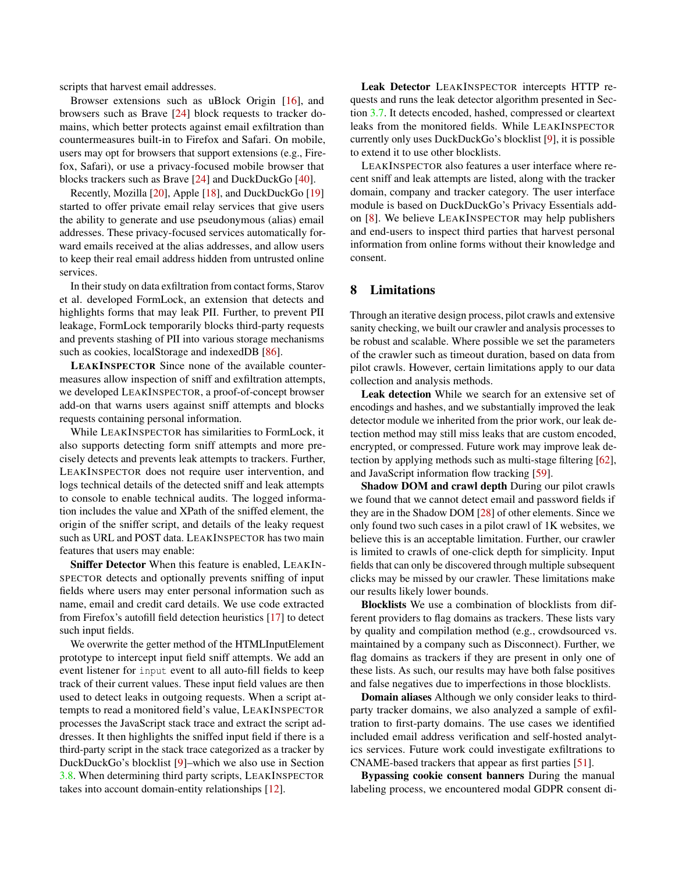scripts that harvest email addresses.

Browser extensions such as uBlock Origin [\[16\]](#page-14-15), and browsers such as Brave [\[24\]](#page-14-23) block requests to tracker domains, which better protects against email exfiltration than countermeasures built-in to Firefox and Safari. On mobile, users may opt for browsers that support extensions (e.g., Firefox, Safari), or use a privacy-focused mobile browser that blocks trackers such as Brave [\[24\]](#page-14-23) and DuckDuckGo [\[40\]](#page-15-19).

Recently, Mozilla [\[20\]](#page-14-24), Apple [\[18\]](#page-14-25), and DuckDuckGo [\[19\]](#page-14-26) started to offer private email relay services that give users the ability to generate and use pseudonymous (alias) email addresses. These privacy-focused services automatically forward emails received at the alias addresses, and allow users to keep their real email address hidden from untrusted online services.

In their study on data exfiltration from contact forms, Starov et al. developed FormLock, an extension that detects and highlights forms that may leak PII. Further, to prevent PII leakage, FormLock temporarily blocks third-party requests and prevents stashing of PII into various storage mechanisms such as cookies, localStorage and indexedDB [\[86\]](#page-17-13).

LEAKINSPECTOR Since none of the available countermeasures allow inspection of sniff and exfiltration attempts, we developed LEAKINSPECTOR, a proof-of-concept browser add-on that warns users against sniff attempts and blocks requests containing personal information.

While LEAKINSPECTOR has similarities to FormLock, it also supports detecting form sniff attempts and more precisely detects and prevents leak attempts to trackers. Further, LEAKINSPECTOR does not require user intervention, and logs technical details of the detected sniff and leak attempts to console to enable technical audits. The logged information includes the value and XPath of the sniffed element, the origin of the sniffer script, and details of the leaky request such as URL and POST data. LEAKINSPECTOR has two main features that users may enable:

Sniffer Detector When this feature is enabled, LEAKIN-SPECTOR detects and optionally prevents sniffing of input fields where users may enter personal information such as name, email and credit card details. We use code extracted from Firefox's autofill field detection heuristics [\[17\]](#page-14-27) to detect such input fields.

We overwrite the getter method of the HTMLInputElement prototype to intercept input field sniff attempts. We add an event listener for input event to all auto-fill fields to keep track of their current values. These input field values are then used to detect leaks in outgoing requests. When a script attempts to read a monitored field's value, LEAKINSPECTOR processes the JavaScript stack trace and extract the script addresses. It then highlights the sniffed input field if there is a third-party script in the stack trace categorized as a tracker by DuckDuckGo's blocklist [\[9\]](#page-14-14)–which we also use in Section [3.8.](#page-5-0) When determining third party scripts, LEAKINSPECTOR takes into account domain-entity relationships [\[12\]](#page-14-12).

Leak Detector LEAKINSPECTOR intercepts HTTP requests and runs the leak detector algorithm presented in Section [3.7.](#page-4-1) It detects encoded, hashed, compressed or cleartext leaks from the monitored fields. While LEAKINSPECTOR currently only uses DuckDuckGo's blocklist [\[9\]](#page-14-14), it is possible to extend it to use other blocklists.

LEAKINSPECTOR also features a user interface where recent sniff and leak attempts are listed, along with the tracker domain, company and tracker category. The user interface module is based on DuckDuckGo's Privacy Essentials addon [\[8\]](#page-14-28). We believe LEAKINSPECTOR may help publishers and end-users to inspect third parties that harvest personal information from online forms without their knowledge and consent.

## 8 Limitations

Through an iterative design process, pilot crawls and extensive sanity checking, we built our crawler and analysis processes to be robust and scalable. Where possible we set the parameters of the crawler such as timeout duration, based on data from pilot crawls. However, certain limitations apply to our data collection and analysis methods.

Leak detection While we search for an extensive set of encodings and hashes, and we substantially improved the leak detector module we inherited from the prior work, our leak detection method may still miss leaks that are custom encoded, encrypted, or compressed. Future work may improve leak detection by applying methods such as multi-stage filtering [\[62\]](#page-16-20), and JavaScript information flow tracking [\[59\]](#page-15-20).

Shadow DOM and crawl depth During our pilot crawls we found that we cannot detect email and password fields if they are in the Shadow DOM [\[28\]](#page-14-29) of other elements. Since we only found two such cases in a pilot crawl of 1K websites, we believe this is an acceptable limitation. Further, our crawler is limited to crawls of one-click depth for simplicity. Input fields that can only be discovered through multiple subsequent clicks may be missed by our crawler. These limitations make our results likely lower bounds.

Blocklists We use a combination of blocklists from different providers to flag domains as trackers. These lists vary by quality and compilation method (e.g., crowdsourced vs. maintained by a company such as Disconnect). Further, we flag domains as trackers if they are present in only one of these lists. As such, our results may have both false positives and false negatives due to imperfections in those blocklists.

Domain aliases Although we only consider leaks to thirdparty tracker domains, we also analyzed a sample of exfiltration to first-party domains. The use cases we identified included email address verification and self-hosted analytics services. Future work could investigate exfiltrations to CNAME-based trackers that appear as first parties [\[51\]](#page-15-21).

Bypassing cookie consent banners During the manual labeling process, we encountered modal GDPR consent di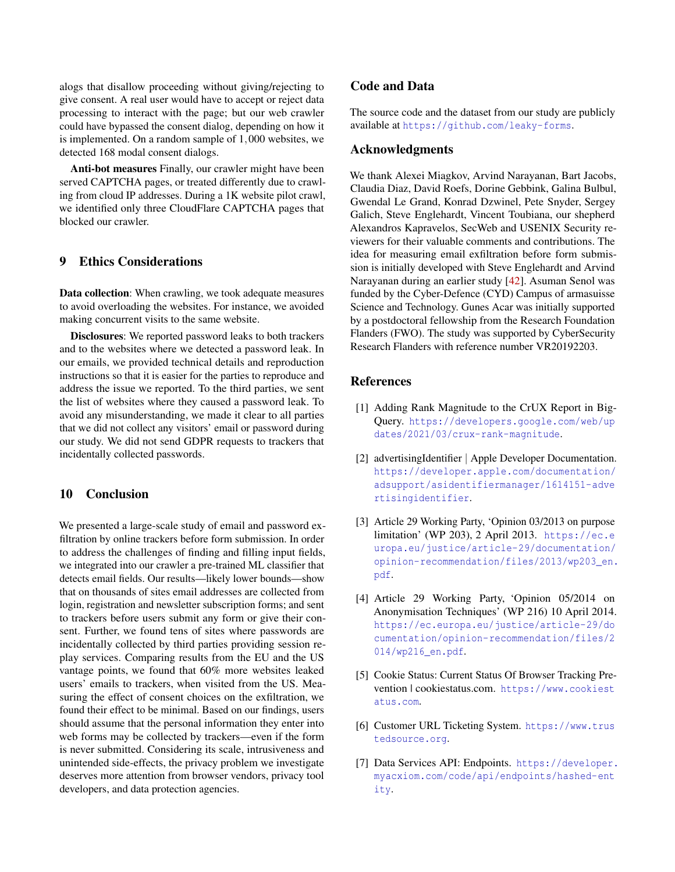alogs that disallow proceeding without giving/rejecting to give consent. A real user would have to accept or reject data processing to interact with the page; but our web crawler could have bypassed the consent dialog, depending on how it is implemented. On a random sample of 1,000 websites, we detected 168 modal consent dialogs.

Anti-bot measures Finally, our crawler might have been served CAPTCHA pages, or treated differently due to crawling from cloud IP addresses. During a 1K website pilot crawl, we identified only three CloudFlare CAPTCHA pages that blocked our crawler.

## <span id="page-13-2"></span>9 Ethics Considerations

Data collection: When crawling, we took adequate measures to avoid overloading the websites. For instance, we avoided making concurrent visits to the same website.

Disclosures: We reported password leaks to both trackers and to the websites where we detected a password leak. In our emails, we provided technical details and reproduction instructions so that it is easier for the parties to reproduce and address the issue we reported. To the third parties, we sent the list of websites where they caused a password leak. To avoid any misunderstanding, we made it clear to all parties that we did not collect any visitors' email or password during our study. We did not send GDPR requests to trackers that incidentally collected passwords.

#### 10 Conclusion

We presented a large-scale study of email and password exfiltration by online trackers before form submission. In order to address the challenges of finding and filling input fields, we integrated into our crawler a pre-trained ML classifier that detects email fields. Our results—likely lower bounds—show that on thousands of sites email addresses are collected from login, registration and newsletter subscription forms; and sent to trackers before users submit any form or give their consent. Further, we found tens of sites where passwords are incidentally collected by third parties providing session replay services. Comparing results from the EU and the US vantage points, we found that 60% more websites leaked users' emails to trackers, when visited from the US. Measuring the effect of consent choices on the exfiltration, we found their effect to be minimal. Based on our findings, users should assume that the personal information they enter into web forms may be collected by trackers—even if the form is never submitted. Considering its scale, intrusiveness and unintended side-effects, the privacy problem we investigate deserves more attention from browser vendors, privacy tool developers, and data protection agencies.

## Code and Data

The source code and the dataset from our study are publicly available at <https://github.com/leaky-forms>.

#### Acknowledgments

We thank Alexei Miagkov, Arvind Narayanan, Bart Jacobs, Claudia Diaz, David Roefs, Dorine Gebbink, Galina Bulbul, Gwendal Le Grand, Konrad Dzwinel, Pete Snyder, Sergey Galich, Steve Englehardt, Vincent Toubiana, our shepherd Alexandros Kapravelos, SecWeb and USENIX Security reviewers for their valuable comments and contributions. The idea for measuring email exfiltration before form submission is initially developed with Steve Englehardt and Arvind Narayanan during an earlier study [\[42\]](#page-15-3). Asuman Senol was funded by the Cyber-Defence (CYD) Campus of armasuisse Science and Technology. Gunes Acar was initially supported by a postdoctoral fellowship from the Research Foundation Flanders (FWO). The study was supported by CyberSecurity Research Flanders with reference number VR20192203.

## **References**

- <span id="page-13-1"></span>[1] Adding Rank Magnitude to the CrUX Report in Big-Query. [https://developers.google.com/web/up](https://developers.google.com/web/updates/2021/03/crux-rank-magnitude) [dates/2021/03/crux-rank-magnitude](https://developers.google.com/web/updates/2021/03/crux-rank-magnitude).
- <span id="page-13-6"></span>[2] advertisingIdentifier | Apple Developer Documentation. [https://developer.apple.com/documentation/](https://developer.apple.com/documentation/adsupport/asidentifiermanager/1614151-advertisingidentifier) [adsupport/asidentifiermanager/1614151-adve](https://developer.apple.com/documentation/adsupport/asidentifiermanager/1614151-advertisingidentifier) [rtisingidentifier](https://developer.apple.com/documentation/adsupport/asidentifiermanager/1614151-advertisingidentifier).
- <span id="page-13-5"></span>[3] Article 29 Working Party, 'Opinion 03/2013 on purpose limitation' (WP 203), 2 April 2013. [https://ec.e](https://ec.europa.eu/justice/article-29/documentation/opinion-recommendation/files/2013/wp203_en.pdf) [uropa.eu/justice/article-29/documentation/](https://ec.europa.eu/justice/article-29/documentation/opinion-recommendation/files/2013/wp203_en.pdf) [opinion-recommendation/files/2013/wp203\\_en.](https://ec.europa.eu/justice/article-29/documentation/opinion-recommendation/files/2013/wp203_en.pdf) [pdf](https://ec.europa.eu/justice/article-29/documentation/opinion-recommendation/files/2013/wp203_en.pdf).
- <span id="page-13-4"></span>[4] Article 29 Working Party, 'Opinion 05/2014 on Anonymisation Techniques' (WP 216) 10 April 2014. [https://ec.europa.eu/justice/article-29/do](https://ec.europa.eu/justice/article-29/documentation/opinion-recommendation/files/2014/wp216_en.pdf) [cumentation/opinion-recommendation/files/2](https://ec.europa.eu/justice/article-29/documentation/opinion-recommendation/files/2014/wp216_en.pdf) [014/wp216\\_en.pdf](https://ec.europa.eu/justice/article-29/documentation/opinion-recommendation/files/2014/wp216_en.pdf).
- <span id="page-13-7"></span>[5] Cookie Status: Current Status Of Browser Tracking Prevention | cookiestatus.com. [https://www.cookiest](https://www.cookiestatus.com) [atus.com](https://www.cookiestatus.com).
- <span id="page-13-3"></span>[6] Customer URL Ticketing System. [https://www.trus](https://www.trustedsource.org) [tedsource.org](https://www.trustedsource.org).
- <span id="page-13-0"></span>[7] Data Services API: Endpoints. [https://developer.](https://developer.myacxiom.com/code/api/endpoints/hashed-entity) [myacxiom.com/code/api/endpoints/hashed-ent](https://developer.myacxiom.com/code/api/endpoints/hashed-entity) [ity](https://developer.myacxiom.com/code/api/endpoints/hashed-entity).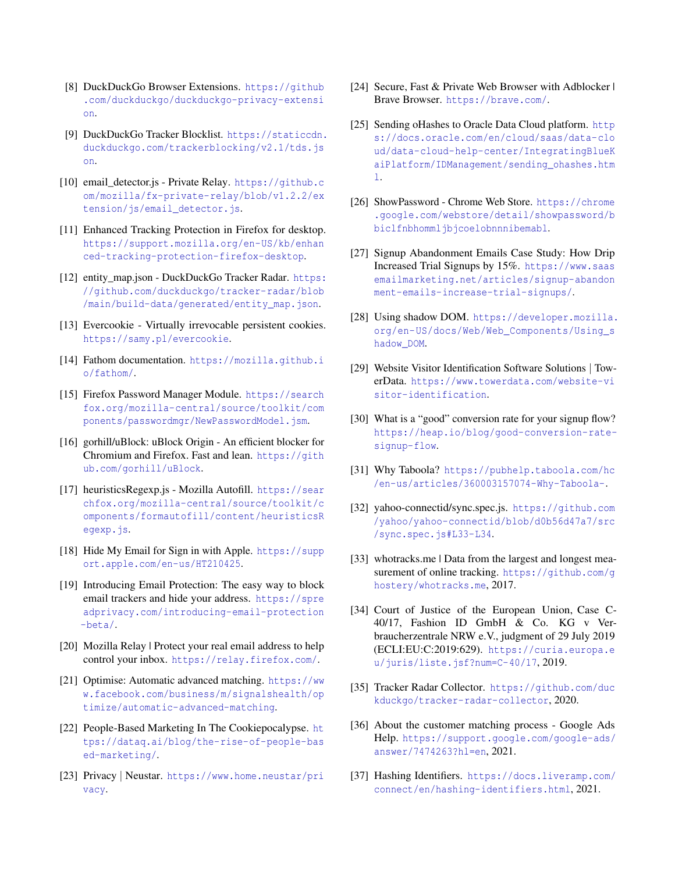- <span id="page-14-28"></span>[8] DuckDuckGo Browser Extensions. [https://github](https://github.com/duckduckgo/duckduckgo-privacy-extension) [.com/duckduckgo/duckduckgo-privacy-extensi](https://github.com/duckduckgo/duckduckgo-privacy-extension) [on](https://github.com/duckduckgo/duckduckgo-privacy-extension).
- <span id="page-14-14"></span>[9] DuckDuckGo Tracker Blocklist. [https://staticcdn.](https://staticcdn.duckduckgo.com/trackerblocking/v2.1/tds.json) [duckduckgo.com/trackerblocking/v2.1/tds.js](https://staticcdn.duckduckgo.com/trackerblocking/v2.1/tds.json) [on](https://staticcdn.duckduckgo.com/trackerblocking/v2.1/tds.json).
- <span id="page-14-8"></span>[10] email\_detector.js - Private Relay. [https://github.c](https://github.com/mozilla/fx-private-relay/blob/v1.2.2/extension/js/email_detector.js) [om/mozilla/fx-private-relay/blob/v1.2.2/ex](https://github.com/mozilla/fx-private-relay/blob/v1.2.2/extension/js/email_detector.js) [tension/js/email\\_detector.js](https://github.com/mozilla/fx-private-relay/blob/v1.2.2/extension/js/email_detector.js).
- <span id="page-14-6"></span>[11] Enhanced Tracking Protection in Firefox for desktop. [https://support.mozilla.org/en-US/kb/enhan](https://support.mozilla.org/en-US/kb/enhanced-tracking-protection-firefox-desktop) [ced-tracking-protection-firefox-desktop](https://support.mozilla.org/en-US/kb/enhanced-tracking-protection-firefox-desktop).
- <span id="page-14-12"></span>[12] entity\_map.json - DuckDuckGo Tracker Radar. [https:](https://github.com/duckduckgo/tracker-radar/blob/main/build-data/generated/entity_map.json) [//github.com/duckduckgo/tracker-radar/blob](https://github.com/duckduckgo/tracker-radar/blob/main/build-data/generated/entity_map.json) [/main/build-data/generated/entity\\_map.json](https://github.com/duckduckgo/tracker-radar/blob/main/build-data/generated/entity_map.json).
- <span id="page-14-5"></span>[13] Evercookie - Virtually irrevocable persistent cookies. <https://samy.pl/evercookie>.
- <span id="page-14-10"></span>[14] Fathom documentation. [https://mozilla.github.i](https://mozilla.github.io/fathom/) [o/fathom/](https://mozilla.github.io/fathom/).
- <span id="page-14-9"></span>[15] Firefox Password Manager Module. [https://search](https://searchfox.org/mozilla-central/source/toolkit/components/passwordmgr/NewPasswordModel.jsm) [fox.org/mozilla-central/source/toolkit/com](https://searchfox.org/mozilla-central/source/toolkit/components/passwordmgr/NewPasswordModel.jsm) [ponents/passwordmgr/NewPasswordModel.jsm](https://searchfox.org/mozilla-central/source/toolkit/components/passwordmgr/NewPasswordModel.jsm).
- <span id="page-14-15"></span>[16] gorhill/uBlock: uBlock Origin - An efficient blocker for Chromium and Firefox. Fast and lean. [https://gith](https://github.com/gorhill/uBlock) [ub.com/gorhill/uBlock](https://github.com/gorhill/uBlock).
- <span id="page-14-27"></span>[17] heuristicsRegexp.js - Mozilla Autofill. [https://sear](https://searchfox.org/mozilla-central/source/toolkit/components/formautofill/content/heuristicsRegexp.js) [chfox.org/mozilla-central/source/toolkit/c](https://searchfox.org/mozilla-central/source/toolkit/components/formautofill/content/heuristicsRegexp.js) [omponents/formautofill/content/heuristicsR](https://searchfox.org/mozilla-central/source/toolkit/components/formautofill/content/heuristicsRegexp.js) [egexp.js](https://searchfox.org/mozilla-central/source/toolkit/components/formautofill/content/heuristicsRegexp.js).
- <span id="page-14-25"></span>[18] Hide My Email for Sign in with Apple. [https://supp](https://support.apple.com/en-us/HT210425) [ort.apple.com/en-us/HT210425](https://support.apple.com/en-us/HT210425).
- <span id="page-14-26"></span>[19] Introducing Email Protection: The easy way to block email trackers and hide your address. [https://spre](https://spreadprivacy.com/introducing-email-protection-beta/) [adprivacy.com/introducing-email-protection](https://spreadprivacy.com/introducing-email-protection-beta/) [-beta/](https://spreadprivacy.com/introducing-email-protection-beta/).
- <span id="page-14-24"></span>[20] Mozilla Relay | Protect your real email address to help control your inbox. <https://relay.firefox.com/>.
- <span id="page-14-21"></span>[21] Optimise: Automatic advanced matching. [https://ww](https://www.facebook.com/business/m/signalshealth/optimize/automatic-advanced-matching) [w.facebook.com/business/m/signalshealth/op](https://www.facebook.com/business/m/signalshealth/optimize/automatic-advanced-matching) [timize/automatic-advanced-matching](https://www.facebook.com/business/m/signalshealth/optimize/automatic-advanced-matching).
- <span id="page-14-7"></span>[22] People-Based Marketing In The Cookiepocalypse. [ht](https://dataq.ai/blog/the-rise-of-people-based-marketing/) [tps://dataq.ai/blog/the-rise-of-people-bas](https://dataq.ai/blog/the-rise-of-people-based-marketing/) [ed-marketing/](https://dataq.ai/blog/the-rise-of-people-based-marketing/).
- <span id="page-14-19"></span>[23] Privacy | Neustar. [https://www.home.neustar/pri](https://www.home.neustar/privacy) [vacy](https://www.home.neustar/privacy).
- <span id="page-14-23"></span>[24] Secure, Fast & Private Web Browser with Adblocker | Brave Browser. <https://brave.com/>.
- <span id="page-14-0"></span>[25] Sending oHashes to Oracle Data Cloud platform. [http](https://docs.oracle.com/en/cloud/saas/data-cloud/data-cloud-help-center/IntegratingBlueKaiPlatform/IDManagement/sending_ohashes.html):// [s://docs.oracle.com/en/cloud/saas/data-clo](https://docs.oracle.com/en/cloud/saas/data-cloud/data-cloud-help-center/IntegratingBlueKaiPlatform/IDManagement/sending_ohashes.html) [ud/data-cloud-help-center/IntegratingBlueK](https://docs.oracle.com/en/cloud/saas/data-cloud/data-cloud-help-center/IntegratingBlueKaiPlatform/IDManagement/sending_ohashes.html) [aiPlatform/IDManagement/sending\\_ohashes.htm](https://docs.oracle.com/en/cloud/saas/data-cloud/data-cloud-help-center/IntegratingBlueKaiPlatform/IDManagement/sending_ohashes.html) [l](https://docs.oracle.com/en/cloud/saas/data-cloud/data-cloud-help-center/IntegratingBlueKaiPlatform/IDManagement/sending_ohashes.html).
- <span id="page-14-11"></span>[26] ShowPassword - Chrome Web Store. [https://chrome](https://chrome.google.com/webstore/detail/showpassword/bbiclfnbhommljbjcoelobnnnibemabl) [.google.com/webstore/detail/showpassword/b](https://chrome.google.com/webstore/detail/showpassword/bbiclfnbhommljbjcoelobnnnibemabl) [biclfnbhommljbjcoelobnnnibemabl](https://chrome.google.com/webstore/detail/showpassword/bbiclfnbhommljbjcoelobnnnibemabl).
- <span id="page-14-2"></span>[27] Signup Abandonment Emails Case Study: How Drip Increased Trial Signups by 15%. [https://www.saas](https://www.saasemailmarketing.net/articles/signup-abandonment-emails-increase-trial-signups/) [emailmarketing.net/articles/signup-abandon](https://www.saasemailmarketing.net/articles/signup-abandonment-emails-increase-trial-signups/) [ment-emails-increase-trial-signups/](https://www.saasemailmarketing.net/articles/signup-abandonment-emails-increase-trial-signups/).
- <span id="page-14-29"></span>[28] Using shadow DOM. [https://developer.mozilla.](https://developer.mozilla.org/en-US/docs/Web/Web_Components/Using_shadow_DOM) [org/en-US/docs/Web/Web\\_Components/Using\\_s](https://developer.mozilla.org/en-US/docs/Web/Web_Components/Using_shadow_DOM) [hadow\\_DOM](https://developer.mozilla.org/en-US/docs/Web/Web_Components/Using_shadow_DOM).
- <span id="page-14-16"></span>[29] Website Visitor Identification Software Solutions | TowerData. [https://www.towerdata.com/website-vi](https://www.towerdata.com/website-visitor-identification) [sitor-identification](https://www.towerdata.com/website-visitor-identification).
- <span id="page-14-3"></span>[30] What is a "good" conversion rate for your signup flow? [https://heap.io/blog/good-conversion-rate](https://heap.io/blog/good-conversion-rate-signup-flow)[signup-flow](https://heap.io/blog/good-conversion-rate-signup-flow).
- <span id="page-14-17"></span>[31] Why Taboola? [https://pubhelp.taboola.com/hc](https://pubhelp.taboola.com/hc/en-us/articles/360003157074-Why-Taboola-) [/en-us/articles/360003157074-Why-Taboola-](https://pubhelp.taboola.com/hc/en-us/articles/360003157074-Why-Taboola-).
- <span id="page-14-18"></span>[32] yahoo-connectid/sync.spec.js. [https://github.com](https://github.com/yahoo/yahoo-connectid/blob/d0b56d47a7/src/sync.spec.js#L33-L34) [/yahoo/yahoo-connectid/blob/d0b56d47a7/src](https://github.com/yahoo/yahoo-connectid/blob/d0b56d47a7/src/sync.spec.js#L33-L34) [/sync.spec.js#L33-L34](https://github.com/yahoo/yahoo-connectid/blob/d0b56d47a7/src/sync.spec.js#L33-L34).
- <span id="page-14-13"></span>[33] whotracks.me | Data from the largest and longest measurement of online tracking. [https://github.com/g](https://github.com/ghostery/whotracks.me) [hostery/whotracks.me](https://github.com/ghostery/whotracks.me), 2017.
- <span id="page-14-22"></span>[34] Court of Justice of the European Union, Case C-40/17, Fashion ID GmbH & Co. KG v Verbraucherzentrale NRW e.V., judgment of 29 July 2019 (ECLI:EU:C:2019:629). [https://curia.europa.e](https://curia.europa.eu/juris/liste.jsf?num=C-40/17) [u/juris/liste.jsf?num=C-40/17](https://curia.europa.eu/juris/liste.jsf?num=C-40/17), 2019.
- <span id="page-14-4"></span>[35] Tracker Radar Collector. [https://github.com/duc](https://github.com/duckduckgo/tracker-radar-collector) [kduckgo/tracker-radar-collector](https://github.com/duckduckgo/tracker-radar-collector), 2020.
- <span id="page-14-1"></span>[36] About the customer matching process - Google Ads Help. [https://support.google.com/google-ads/](https://support.google.com/google-ads/answer/7474263?hl=en) [answer/7474263?hl=en](https://support.google.com/google-ads/answer/7474263?hl=en), 2021.
- <span id="page-14-20"></span>[37] Hashing Identifiers. [https://docs.liveramp.com/](https://docs.liveramp.com/connect/en/hashing-identifiers.html) [connect/en/hashing-identifiers.html](https://docs.liveramp.com/connect/en/hashing-identifiers.html), 2021.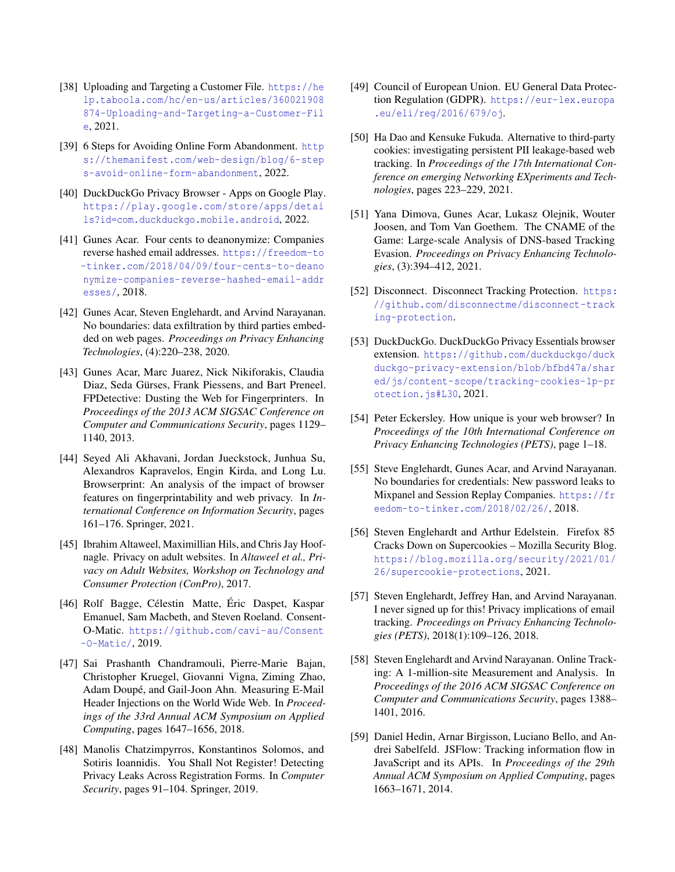- <span id="page-15-13"></span>[38] Uploading and Targeting a Customer File. [https://he](https://help.taboola.com/hc/en-us/articles/360021908874-Uploading-and-Targeting-a-Customer-File) [lp.taboola.com/hc/en-us/articles/360021908](https://help.taboola.com/hc/en-us/articles/360021908874-Uploading-and-Targeting-a-Customer-File) [874-Uploading-and-Targeting-a-Customer-Fil](https://help.taboola.com/hc/en-us/articles/360021908874-Uploading-and-Targeting-a-Customer-File) [e](https://help.taboola.com/hc/en-us/articles/360021908874-Uploading-and-Targeting-a-Customer-File), 2021.
- <span id="page-15-0"></span>[39] 6 Steps for Avoiding Online Form Abandonment. [http](https://themanifest.com/web-design/blog/6-steps-avoid-online-form-abandonment) [s://themanifest.com/web-design/blog/6-step](https://themanifest.com/web-design/blog/6-steps-avoid-online-form-abandonment) [s-avoid-online-form-abandonment](https://themanifest.com/web-design/blog/6-steps-avoid-online-form-abandonment), 2022.
- <span id="page-15-19"></span>[40] DuckDuckGo Privacy Browser - Apps on Google Play. [https://play.google.com/store/apps/detai](https://play.google.com/store/apps/details?id=com.duckduckgo.mobile.android) [ls?id=com.duckduckgo.mobile.android](https://play.google.com/store/apps/details?id=com.duckduckgo.mobile.android), 2022.
- <span id="page-15-16"></span>[41] Gunes Acar. Four cents to deanonymize: Companies reverse hashed email addresses. [https://freedom-to](https://freedom-to-tinker.com/2018/04/09/four-cents-to-deanonymize-companies-reverse-hashed-email-addresses/) [-tinker.com/2018/04/09/four-cents-to-deano](https://freedom-to-tinker.com/2018/04/09/four-cents-to-deanonymize-companies-reverse-hashed-email-addresses/) [nymize-companies-reverse-hashed-email-addr](https://freedom-to-tinker.com/2018/04/09/four-cents-to-deanonymize-companies-reverse-hashed-email-addresses/) [esses/](https://freedom-to-tinker.com/2018/04/09/four-cents-to-deanonymize-companies-reverse-hashed-email-addresses/), 2018.
- <span id="page-15-3"></span>[42] Gunes Acar, Steven Englehardt, and Arvind Narayanan. No boundaries: data exfiltration by third parties embedded on web pages. *Proceedings on Privacy Enhancing Technologies*, (4):220–238, 2020.
- <span id="page-15-9"></span>[43] Gunes Acar, Marc Juarez, Nick Nikiforakis, Claudia Diaz, Seda Gürses, Frank Piessens, and Bart Preneel. FPDetective: Dusting the Web for Fingerprinters. In *Proceedings of the 2013 ACM SIGSAC Conference on Computer and Communications Security*, pages 1129– 1140, 2013.
- <span id="page-15-10"></span>[44] Seyed Ali Akhavani, Jordan Jueckstock, Junhua Su, Alexandros Kapravelos, Engin Kirda, and Long Lu. Browserprint: An analysis of the impact of browser features on fingerprintability and web privacy. In *International Conference on Information Security*, pages 161–176. Springer, 2021.
- <span id="page-15-14"></span>[45] Ibrahim Altaweel, Maximillian Hils, and Chris Jay Hoofnagle. Privacy on adult websites. In *Altaweel et al., Privacy on Adult Websites, Workshop on Technology and Consumer Protection (ConPro)*, 2017.
- <span id="page-15-5"></span>[46] Rolf Bagge, Célestin Matte, Éric Daspet, Kaspar Emanuel, Sam Macbeth, and Steven Roeland. Consent-O-Matic. [https://github.com/cavi-au/Consent](https://github.com/cavi-au/Consent-O-Matic/) [-O-Matic/](https://github.com/cavi-au/Consent-O-Matic/), 2019.
- <span id="page-15-8"></span>[47] Sai Prashanth Chandramouli, Pierre-Marie Bajan, Christopher Kruegel, Giovanni Vigna, Ziming Zhao, Adam Doupé, and Gail-Joon Ahn. Measuring E-Mail Header Injections on the World Wide Web. In *Proceedings of the 33rd Annual ACM Symposium on Applied Computing*, pages 1647–1656, 2018.
- <span id="page-15-6"></span>[48] Manolis Chatzimpyrros, Konstantinos Solomos, and Sotiris Ioannidis. You Shall Not Register! Detecting Privacy Leaks Across Registration Forms. In *Computer Security*, pages 91–104. Springer, 2019.
- <span id="page-15-15"></span>[49] Council of European Union. EU General Data Protection Regulation (GDPR). [https://eur-lex.europa](https://eur-lex.europa.eu/eli/reg/2016/679/oj) [.eu/eli/reg/2016/679/oj](https://eur-lex.europa.eu/eli/reg/2016/679/oj).
- <span id="page-15-7"></span>[50] Ha Dao and Kensuke Fukuda. Alternative to third-party cookies: investigating persistent PII leakage-based web tracking. In *Proceedings of the 17th International Conference on emerging Networking EXperiments and Technologies*, pages 223–229, 2021.
- <span id="page-15-21"></span>[51] Yana Dimova, Gunes Acar, Lukasz Olejnik, Wouter Joosen, and Tom Van Goethem. The CNAME of the Game: Large-scale Analysis of DNS-based Tracking Evasion. *Proceedings on Privacy Enhancing Technologies*, (3):394–412, 2021.
- <span id="page-15-12"></span>[52] Disconnect. Disconnect Tracking Protection. [https:](https://github.com/disconnectme/disconnect-tracking-protection) [//github.com/disconnectme/disconnect-track](https://github.com/disconnectme/disconnect-tracking-protection) [ing-protection](https://github.com/disconnectme/disconnect-tracking-protection).
- <span id="page-15-18"></span>[53] DuckDuckGo. DuckDuckGo Privacy Essentials browser extension. [https://github.com/duckduckgo/duck](https://github.com/duckduckgo/duckduckgo-privacy-extension/blob/bfbd47a/shared/js/content-scope/tracking-cookies-1p-protection.js#L30) [duckgo-privacy-extension/blob/bfbd47a/shar](https://github.com/duckduckgo/duckduckgo-privacy-extension/blob/bfbd47a/shared/js/content-scope/tracking-cookies-1p-protection.js#L30) [ed/js/content-scope/tracking-cookies-1p-pr](https://github.com/duckduckgo/duckduckgo-privacy-extension/blob/bfbd47a/shared/js/content-scope/tracking-cookies-1p-protection.js#L30) [otection.js#L30](https://github.com/duckduckgo/duckduckgo-privacy-extension/blob/bfbd47a/shared/js/content-scope/tracking-cookies-1p-protection.js#L30), 2021.
- <span id="page-15-1"></span>[54] Peter Eckersley. How unique is your web browser? In *Proceedings of the 10th International Conference on Privacy Enhancing Technologies (PETS)*, page 1–18.
- <span id="page-15-11"></span>[55] Steve Englehardt, Gunes Acar, and Arvind Narayanan. No boundaries for credentials: New password leaks to Mixpanel and Session Replay Companies. [https://fr](https://freedom-to-tinker.com/2018/02/26/) [eedom-to-tinker.com/2018/02/26/](https://freedom-to-tinker.com/2018/02/26/), 2018.
- <span id="page-15-17"></span>[56] Steven Englehardt and Arthur Edelstein. Firefox 85 Cracks Down on Supercookies – Mozilla Security Blog. [https://blog.mozilla.org/security/2021/01/](https://blog.mozilla.org/security/2021/01/26/supercookie-protections) [26/supercookie-protections](https://blog.mozilla.org/security/2021/01/26/supercookie-protections), 2021.
- <span id="page-15-4"></span>[57] Steven Englehardt, Jeffrey Han, and Arvind Narayanan. I never signed up for this! Privacy implications of email tracking. *Proceedings on Privacy Enhancing Technologies (PETS)*, 2018(1):109–126, 2018.
- <span id="page-15-2"></span>[58] Steven Englehardt and Arvind Narayanan. Online Tracking: A 1-million-site Measurement and Analysis. In *Proceedings of the 2016 ACM SIGSAC Conference on Computer and Communications Security*, pages 1388– 1401, 2016.
- <span id="page-15-20"></span>[59] Daniel Hedin, Arnar Birgisson, Luciano Bello, and Andrei Sabelfeld. JSFlow: Tracking information flow in JavaScript and its APIs. In *Proceedings of the 29th Annual ACM Symposium on Applied Computing*, pages 1663–1671, 2014.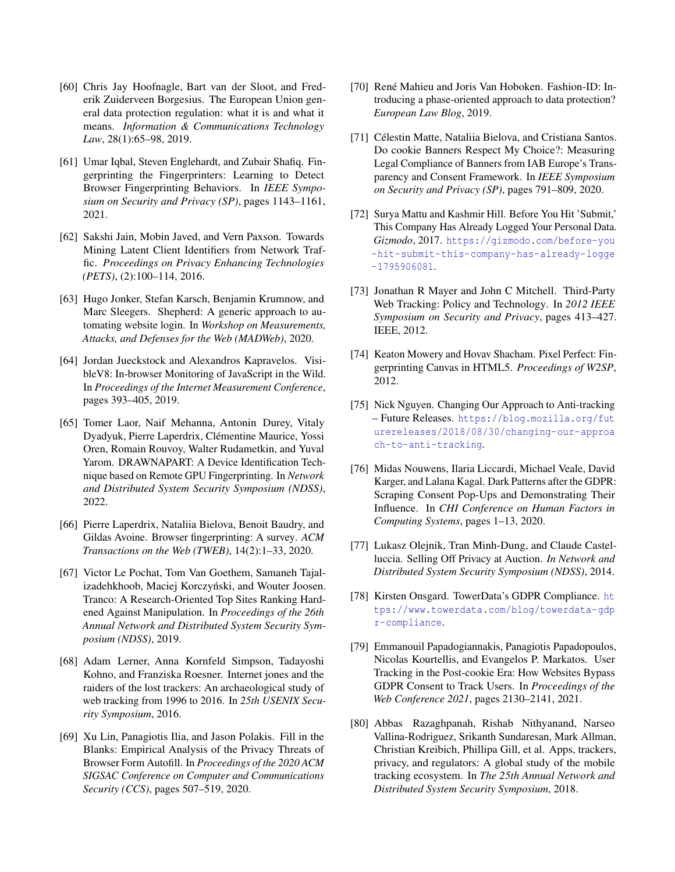- <span id="page-16-18"></span>[60] Chris Jay Hoofnagle, Bart van der Sloot, and Frederik Zuiderveen Borgesius. The European Union general data protection regulation: what it is and what it means. *Information & Communications Technology Law*, 28(1):65–98, 2019.
- <span id="page-16-3"></span>[61] Umar Iqbal, Steven Englehardt, and Zubair Shafiq. Fingerprinting the Fingerprinters: Learning to Detect Browser Fingerprinting Behaviors. In *IEEE Symposium on Security and Privacy (SP)*, pages 1143–1161, 2021.
- <span id="page-16-20"></span>[62] Sakshi Jain, Mobin Javed, and Vern Paxson. Towards Mining Latent Client Identifiers from Network Traffic. *Proceedings on Privacy Enhancing Technologies (PETS)*, (2):100–114, 2016.
- <span id="page-16-12"></span>[63] Hugo Jonker, Stefan Karsch, Benjamin Krumnow, and Marc Sleegers. Shepherd: A generic approach to automating website login. In *Workshop on Measurements, Attacks, and Defenses for the Web (MADWeb)*, 2020.
- <span id="page-16-11"></span>[64] Jordan Jueckstock and Alexandros Kapravelos. VisibleV8: In-browser Monitoring of JavaScript in the Wild. In *Proceedings of the Internet Measurement Conference*, pages 393–405, 2019.
- <span id="page-16-5"></span>[65] Tomer Laor, Naif Mehanna, Antonin Durey, Vitaly Dyadyuk, Pierre Laperdrix, Clémentine Maurice, Yossi Oren, Romain Rouvoy, Walter Rudametkin, and Yuval Yarom. DRAWNAPART: A Device Identification Technique based on Remote GPU Fingerprinting. In *Network and Distributed System Security Symposium (NDSS)*, 2022.
- <span id="page-16-4"></span>[66] Pierre Laperdrix, Nataliia Bielova, Benoit Baudry, and Gildas Avoine. Browser fingerprinting: A survey. *ACM Transactions on the Web (TWEB)*, 14(2):1–33, 2020.
- <span id="page-16-15"></span>[67] Victor Le Pochat, Tom Van Goethem, Samaneh Tajalizadehkhoob, Maciej Korczyński, and Wouter Joosen. Tranco: A Research-Oriented Top Sites Ranking Hardened Against Manipulation. In *Proceedings of the 26th Annual Network and Distributed System Security Symposium (NDSS)*, 2019.
- <span id="page-16-2"></span>[68] Adam Lerner, Anna Kornfeld Simpson, Tadayoshi Kohno, and Franziska Roesner. Internet jones and the raiders of the lost trackers: An archaeological study of web tracking from 1996 to 2016. In *25th USENIX Security Symposium*, 2016.
- <span id="page-16-9"></span>[69] Xu Lin, Panagiotis Ilia, and Jason Polakis. Fill in the Blanks: Empirical Analysis of the Privacy Threats of Browser Form Autofill. In *Proceedings of the 2020 ACM SIGSAC Conference on Computer and Communications Security (CCS)*, pages 507–519, 2020.
- <span id="page-16-17"></span>[70] René Mahieu and Joris Van Hoboken. Fashion-ID: Introducing a phase-oriented approach to data protection? *European Law Blog*, 2019.
- <span id="page-16-7"></span>[71] Célestin Matte, Nataliia Bielova, and Cristiana Santos. Do cookie Banners Respect My Choice?: Measuring Legal Compliance of Banners from IAB Europe's Transparency and Consent Framework. In *IEEE Symposium on Security and Privacy (SP)*, pages 791–809, 2020.
- <span id="page-16-0"></span>[72] Surya Mattu and Kashmir Hill. Before You Hit 'Submit,' This Company Has Already Logged Your Personal Data. *Gizmodo*, 2017. [https://gizmodo.com/before-you](https://gizmodo.com/before-you-hit-submit-this-company-has-already-logge-1795906081) [-hit-submit-this-company-has-already-logge](https://gizmodo.com/before-you-hit-submit-this-company-has-already-logge-1795906081) [-1795906081](https://gizmodo.com/before-you-hit-submit-this-company-has-already-logge-1795906081).
- <span id="page-16-8"></span>[73] Jonathan R Mayer and John C Mitchell. Third-Party Web Tracking: Policy and Technology. In *2012 IEEE Symposium on Security and Privacy*, pages 413–427. IEEE, 2012.
- <span id="page-16-6"></span>[74] Keaton Mowery and Hovav Shacham. Pixel Perfect: Fingerprinting Canvas in HTML5. *Proceedings of W2SP*, 2012.
- <span id="page-16-19"></span>[75] Nick Nguyen. Changing Our Approach to Anti-tracking – Future Releases. [https://blog.mozilla.org/fut](https://blog.mozilla.org/futurereleases/2018/08/30/changing-our-approach-to-anti-tracking) [urereleases/2018/08/30/changing-our-approa](https://blog.mozilla.org/futurereleases/2018/08/30/changing-our-approach-to-anti-tracking) [ch-to-anti-tracking](https://blog.mozilla.org/futurereleases/2018/08/30/changing-our-approach-to-anti-tracking).
- <span id="page-16-14"></span>[76] Midas Nouwens, Ilaria Liccardi, Michael Veale, David Karger, and Lalana Kagal. Dark Patterns after the GDPR: Scraping Consent Pop-Ups and Demonstrating Their Influence. In *CHI Conference on Human Factors in Computing Systems*, pages 1–13, 2020.
- <span id="page-16-1"></span>[77] Lukasz Olejnik, Tran Minh-Dung, and Claude Castelluccia. Selling Off Privacy at Auction. *In Network and Distributed System Security Symposium (NDSS)*, 2014.
- <span id="page-16-16"></span>[78] Kirsten Onsgard. TowerData's GDPR Compliance. [ht](https://www.towerdata.com/blog/towerdata-gdpr-compliance) [tps://www.towerdata.com/blog/towerdata-gdp](https://www.towerdata.com/blog/towerdata-gdpr-compliance) [r-compliance](https://www.towerdata.com/blog/towerdata-gdpr-compliance).
- <span id="page-16-13"></span>[79] Emmanouil Papadogiannakis, Panagiotis Papadopoulos, Nicolas Kourtellis, and Evangelos P. Markatos. User Tracking in the Post-cookie Era: How Websites Bypass GDPR Consent to Track Users. In *Proceedings of the Web Conference 2021*, pages 2130–2141, 2021.
- <span id="page-16-10"></span>[80] Abbas Razaghpanah, Rishab Nithyanand, Narseo Vallina-Rodriguez, Srikanth Sundaresan, Mark Allman, Christian Kreibich, Phillipa Gill, et al. Apps, trackers, privacy, and regulators: A global study of the mobile tracking ecosystem. In *The 25th Annual Network and Distributed System Security Symposium*, 2018.